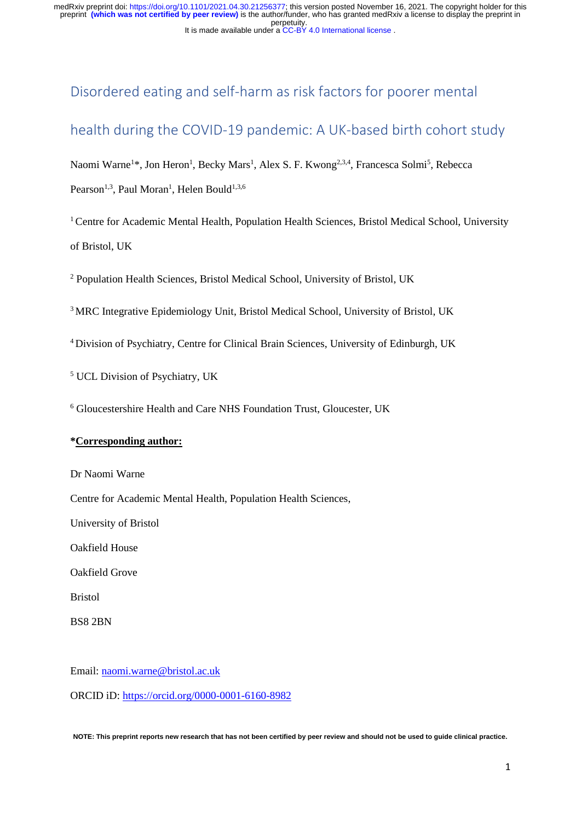# Disordered eating and self-harm as risk factors for poorer mental

# health during the COVID-19 pandemic: A UK-based birth cohort study

Naomi Warne<sup>1\*</sup>, Jon Heron<sup>1</sup>, Becky Mars<sup>1</sup>, Alex S. F. Kwong<sup>2,3,4</sup>, Francesca Solmi<sup>5</sup>, Rebecca Pearson<sup>1,3</sup>, Paul Moran<sup>1</sup>, Helen Bould<sup>1,3,6</sup>

<sup>1</sup> Centre for Academic Mental Health, Population Health Sciences, Bristol Medical School, University of Bristol, UK

<sup>2</sup> Population Health Sciences, Bristol Medical School, University of Bristol, UK

<sup>3</sup>MRC Integrative Epidemiology Unit, Bristol Medical School, University of Bristol, UK

<sup>4</sup>Division of Psychiatry, Centre for Clinical Brain Sciences, University of Edinburgh, UK

<sup>5</sup> UCL Division of Psychiatry, UK

<sup>6</sup> Gloucestershire Health and Care NHS Foundation Trust, Gloucester, UK

# **\*Corresponding author:**

Dr Naomi Warne

Centre for Academic Mental Health, Population Health Sciences,

University of Bristol

Oakfield House

Oakfield Grove

Bristol

BS8 2BN

Email: [naomi.warne@bristol.ac.uk](mailto:naomi.warne@bristol.ac.uk)

ORCID iD: <https://orcid.org/0000-0001-6160-8982>

**NOTE: This preprint reports new research that has not been certified by peer review and should not be used to guide clinical practice.**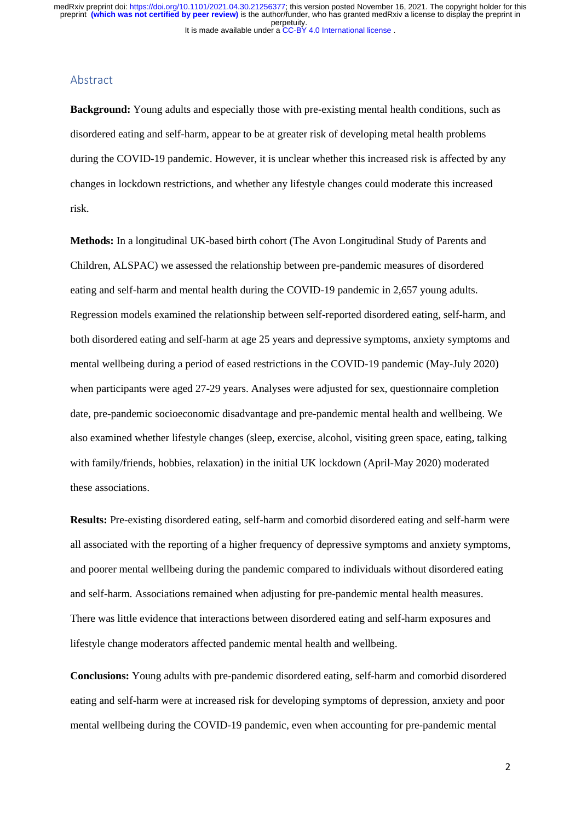# Abstract

**Background:** Young adults and especially those with pre-existing mental health conditions, such as disordered eating and self-harm, appear to be at greater risk of developing metal health problems during the COVID-19 pandemic. However, it is unclear whether this increased risk is affected by any changes in lockdown restrictions, and whether any lifestyle changes could moderate this increased risk.

**Methods:** In a longitudinal UK-based birth cohort (The Avon Longitudinal Study of Parents and Children, ALSPAC) we assessed the relationship between pre-pandemic measures of disordered eating and self-harm and mental health during the COVID-19 pandemic in 2,657 young adults. Regression models examined the relationship between self-reported disordered eating, self-harm, and both disordered eating and self-harm at age 25 years and depressive symptoms, anxiety symptoms and mental wellbeing during a period of eased restrictions in the COVID-19 pandemic (May-July 2020) when participants were aged 27-29 years. Analyses were adjusted for sex, questionnaire completion date, pre-pandemic socioeconomic disadvantage and pre-pandemic mental health and wellbeing. We also examined whether lifestyle changes (sleep, exercise, alcohol, visiting green space, eating, talking with family/friends, hobbies, relaxation) in the initial UK lockdown (April-May 2020) moderated these associations.

**Results:** Pre-existing disordered eating, self-harm and comorbid disordered eating and self-harm were all associated with the reporting of a higher frequency of depressive symptoms and anxiety symptoms, and poorer mental wellbeing during the pandemic compared to individuals without disordered eating and self-harm. Associations remained when adjusting for pre-pandemic mental health measures. There was little evidence that interactions between disordered eating and self-harm exposures and lifestyle change moderators affected pandemic mental health and wellbeing.

**Conclusions:** Young adults with pre-pandemic disordered eating, self-harm and comorbid disordered eating and self-harm were at increased risk for developing symptoms of depression, anxiety and poor mental wellbeing during the COVID-19 pandemic, even when accounting for pre-pandemic mental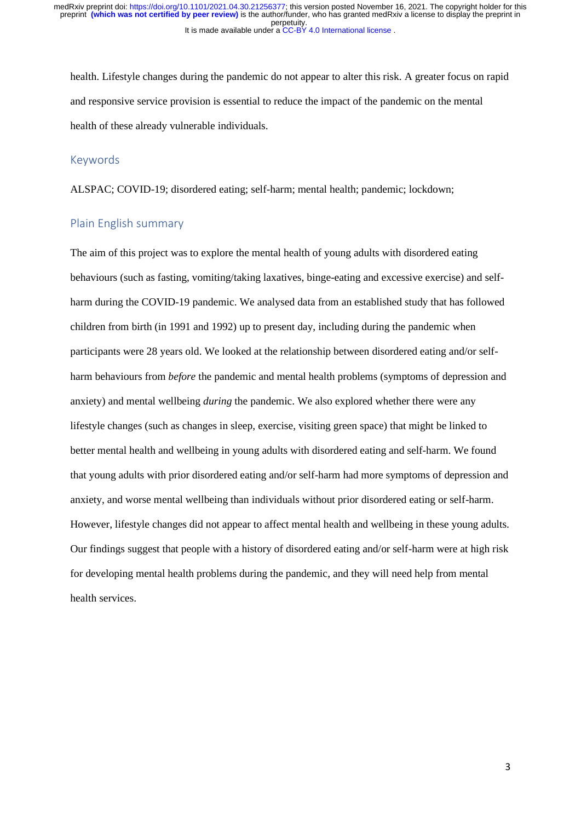health. Lifestyle changes during the pandemic do not appear to alter this risk. A greater focus on rapid and responsive service provision is essential to reduce the impact of the pandemic on the mental health of these already vulnerable individuals.

# Keywords

ALSPAC; COVID-19; disordered eating; self-harm; mental health; pandemic; lockdown;

# Plain English summary

The aim of this project was to explore the mental health of young adults with disordered eating behaviours (such as fasting, vomiting/taking laxatives, binge-eating and excessive exercise) and selfharm during the COVID-19 pandemic. We analysed data from an established study that has followed children from birth (in 1991 and 1992) up to present day, including during the pandemic when participants were 28 years old. We looked at the relationship between disordered eating and/or selfharm behaviours from *before* the pandemic and mental health problems (symptoms of depression and anxiety) and mental wellbeing *during* the pandemic. We also explored whether there were any lifestyle changes (such as changes in sleep, exercise, visiting green space) that might be linked to better mental health and wellbeing in young adults with disordered eating and self-harm. We found that young adults with prior disordered eating and/or self-harm had more symptoms of depression and anxiety, and worse mental wellbeing than individuals without prior disordered eating or self-harm. However, lifestyle changes did not appear to affect mental health and wellbeing in these young adults. Our findings suggest that people with a history of disordered eating and/or self-harm were at high risk for developing mental health problems during the pandemic, and they will need help from mental health services.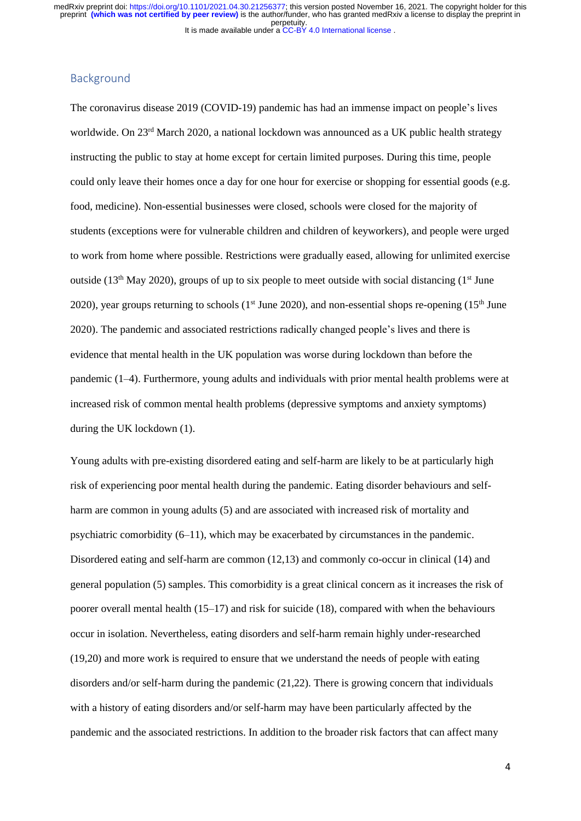# Background

The coronavirus disease 2019 (COVID-19) pandemic has had an immense impact on people's lives worldwide. On 23<sup>rd</sup> March 2020, a national lockdown was announced as a UK public health strategy instructing the public to stay at home except for certain limited purposes. During this time, people could only leave their homes once a day for one hour for exercise or shopping for essential goods (e.g. food, medicine). Non-essential businesses were closed, schools were closed for the majority of students (exceptions were for vulnerable children and children of keyworkers), and people were urged to work from home where possible. Restrictions were gradually eased, allowing for unlimited exercise outside (13<sup>th</sup> May 2020), groups of up to six people to meet outside with social distancing (1<sup>st</sup> June 2020), year groups returning to schools ( $1<sup>st</sup>$  June 2020), and non-essential shops re-opening ( $15<sup>th</sup>$  June 2020). The pandemic and associated restrictions radically changed people's lives and there is evidence that mental health in the UK population was worse during lockdown than before the pandemic (1–4). Furthermore, young adults and individuals with prior mental health problems were at increased risk of common mental health problems (depressive symptoms and anxiety symptoms) during the UK lockdown (1).

Young adults with pre-existing disordered eating and self-harm are likely to be at particularly high risk of experiencing poor mental health during the pandemic. Eating disorder behaviours and selfharm are common in young adults (5) and are associated with increased risk of mortality and psychiatric comorbidity (6–11), which may be exacerbated by circumstances in the pandemic. Disordered eating and self-harm are common (12,13) and commonly co-occur in clinical (14) and general population (5) samples. This comorbidity is a great clinical concern as it increases the risk of poorer overall mental health (15–17) and risk for suicide (18), compared with when the behaviours occur in isolation. Nevertheless, eating disorders and self-harm remain highly under-researched (19,20) and more work is required to ensure that we understand the needs of people with eating disorders and/or self-harm during the pandemic (21,22). There is growing concern that individuals with a history of eating disorders and/or self-harm may have been particularly affected by the pandemic and the associated restrictions. In addition to the broader risk factors that can affect many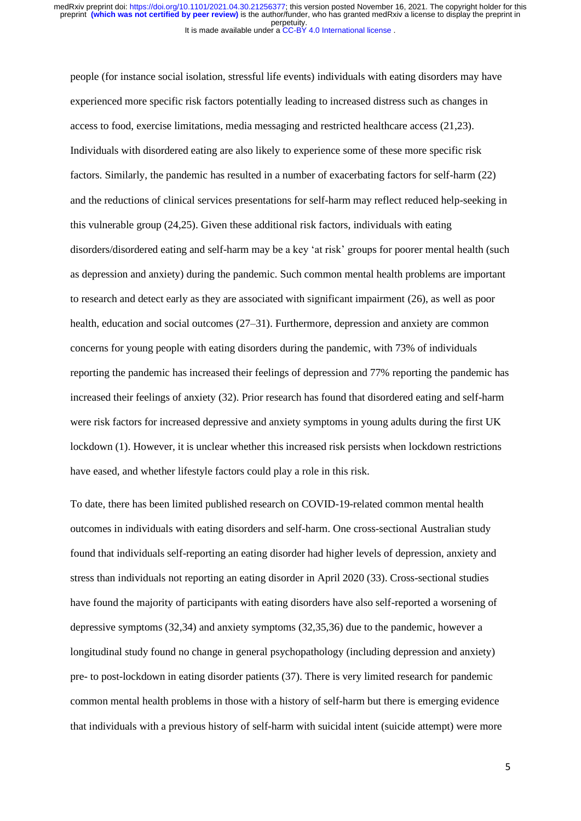people (for instance social isolation, stressful life events) individuals with eating disorders may have experienced more specific risk factors potentially leading to increased distress such as changes in access to food, exercise limitations, media messaging and restricted healthcare access (21,23). Individuals with disordered eating are also likely to experience some of these more specific risk factors. Similarly, the pandemic has resulted in a number of exacerbating factors for self-harm (22) and the reductions of clinical services presentations for self-harm may reflect reduced help-seeking in this vulnerable group (24,25). Given these additional risk factors, individuals with eating disorders/disordered eating and self-harm may be a key 'at risk' groups for poorer mental health (such as depression and anxiety) during the pandemic. Such common mental health problems are important to research and detect early as they are associated with significant impairment (26), as well as poor health, education and social outcomes (27–31). Furthermore, depression and anxiety are common concerns for young people with eating disorders during the pandemic, with 73% of individuals reporting the pandemic has increased their feelings of depression and 77% reporting the pandemic has increased their feelings of anxiety (32). Prior research has found that disordered eating and self-harm were risk factors for increased depressive and anxiety symptoms in young adults during the first UK lockdown (1). However, it is unclear whether this increased risk persists when lockdown restrictions have eased, and whether lifestyle factors could play a role in this risk.

To date, there has been limited published research on COVID-19-related common mental health outcomes in individuals with eating disorders and self-harm. One cross-sectional Australian study found that individuals self-reporting an eating disorder had higher levels of depression, anxiety and stress than individuals not reporting an eating disorder in April 2020 (33). Cross-sectional studies have found the majority of participants with eating disorders have also self-reported a worsening of depressive symptoms (32,34) and anxiety symptoms (32,35,36) due to the pandemic, however a longitudinal study found no change in general psychopathology (including depression and anxiety) pre- to post-lockdown in eating disorder patients (37). There is very limited research for pandemic common mental health problems in those with a history of self-harm but there is emerging evidence that individuals with a previous history of self-harm with suicidal intent (suicide attempt) were more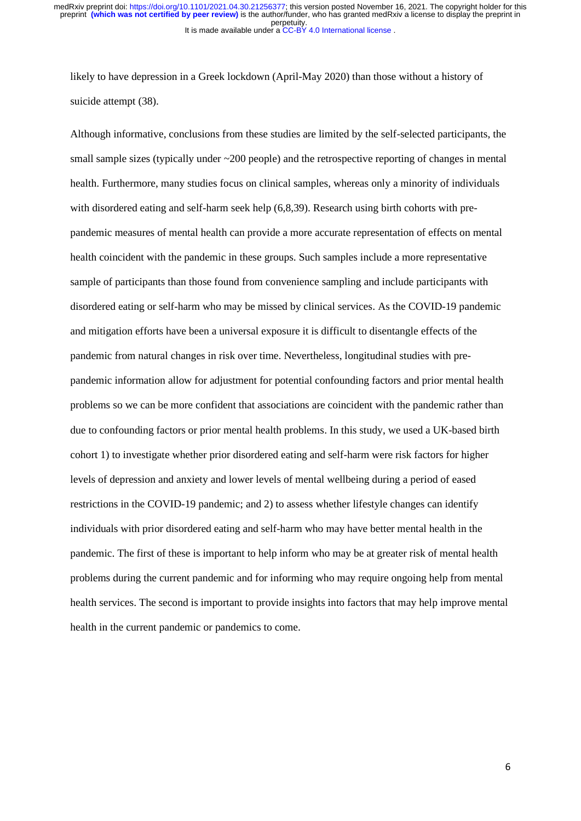likely to have depression in a Greek lockdown (April-May 2020) than those without a history of suicide attempt (38).

Although informative, conclusions from these studies are limited by the self-selected participants, the small sample sizes (typically under  $\sim$  200 people) and the retrospective reporting of changes in mental health. Furthermore, many studies focus on clinical samples, whereas only a minority of individuals with disordered eating and self-harm seek help (6,8,39). Research using birth cohorts with prepandemic measures of mental health can provide a more accurate representation of effects on mental health coincident with the pandemic in these groups. Such samples include a more representative sample of participants than those found from convenience sampling and include participants with disordered eating or self-harm who may be missed by clinical services. As the COVID-19 pandemic and mitigation efforts have been a universal exposure it is difficult to disentangle effects of the pandemic from natural changes in risk over time. Nevertheless, longitudinal studies with prepandemic information allow for adjustment for potential confounding factors and prior mental health problems so we can be more confident that associations are coincident with the pandemic rather than due to confounding factors or prior mental health problems. In this study, we used a UK-based birth cohort 1) to investigate whether prior disordered eating and self-harm were risk factors for higher levels of depression and anxiety and lower levels of mental wellbeing during a period of eased restrictions in the COVID-19 pandemic; and 2) to assess whether lifestyle changes can identify individuals with prior disordered eating and self-harm who may have better mental health in the pandemic. The first of these is important to help inform who may be at greater risk of mental health problems during the current pandemic and for informing who may require ongoing help from mental health services. The second is important to provide insights into factors that may help improve mental health in the current pandemic or pandemics to come.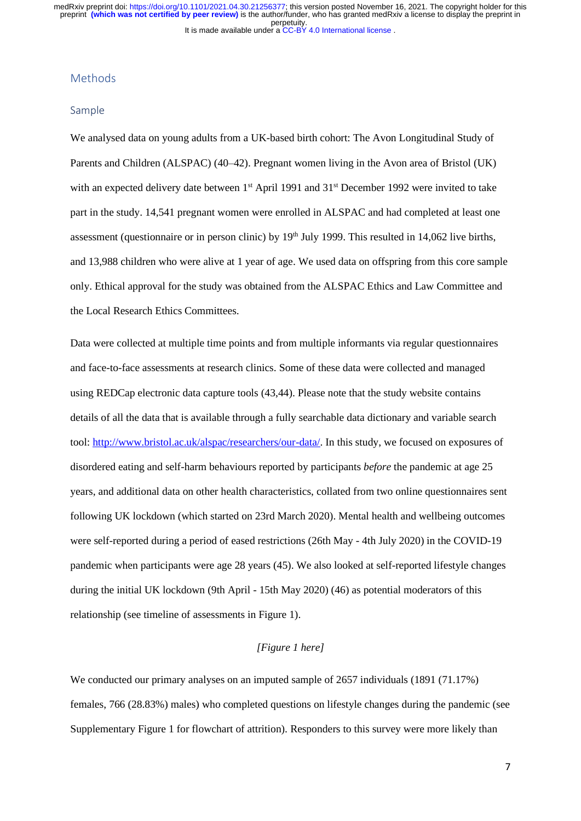## Methods

#### Sample

We analysed data on young adults from a UK-based birth cohort: The Avon Longitudinal Study of Parents and Children (ALSPAC) (40–42). Pregnant women living in the Avon area of Bristol (UK) with an expected delivery date between 1<sup>st</sup> April 1991 and 31<sup>st</sup> December 1992 were invited to take part in the study. 14,541 pregnant women were enrolled in ALSPAC and had completed at least one assessment (questionnaire or in person clinic) by 19<sup>th</sup> July 1999. This resulted in 14,062 live births, and 13,988 children who were alive at 1 year of age. We used data on offspring from this core sample only. Ethical approval for the study was obtained from the ALSPAC Ethics and Law Committee and the Local Research Ethics Committees.

Data were collected at multiple time points and from multiple informants via regular questionnaires and face-to-face assessments at research clinics. Some of these data were collected and managed using REDCap electronic data capture tools (43,44). Please note that the study website contains details of all the data that is available through a fully searchable data dictionary and variable search tool: [http://www.bristol.ac.uk/alspac/researchers/our-data/.](http://www.bristol.ac.uk/alspac/researchers/our-data/) In this study, we focused on exposures of disordered eating and self-harm behaviours reported by participants *before* the pandemic at age 25 years, and additional data on other health characteristics, collated from two online questionnaires sent following UK lockdown (which started on 23rd March 2020). Mental health and wellbeing outcomes were self-reported during a period of eased restrictions (26th May - 4th July 2020) in the COVID-19 pandemic when participants were age 28 years (45). We also looked at self-reported lifestyle changes during the initial UK lockdown (9th April - 15th May 2020) (46) as potential moderators of this relationship (see timeline of assessments in Figure 1).

# *[Figure 1 here]*

We conducted our primary analyses on an imputed sample of 2657 individuals (1891 (71.17%) females, 766 (28.83%) males) who completed questions on lifestyle changes during the pandemic (see Supplementary Figure 1 for flowchart of attrition). Responders to this survey were more likely than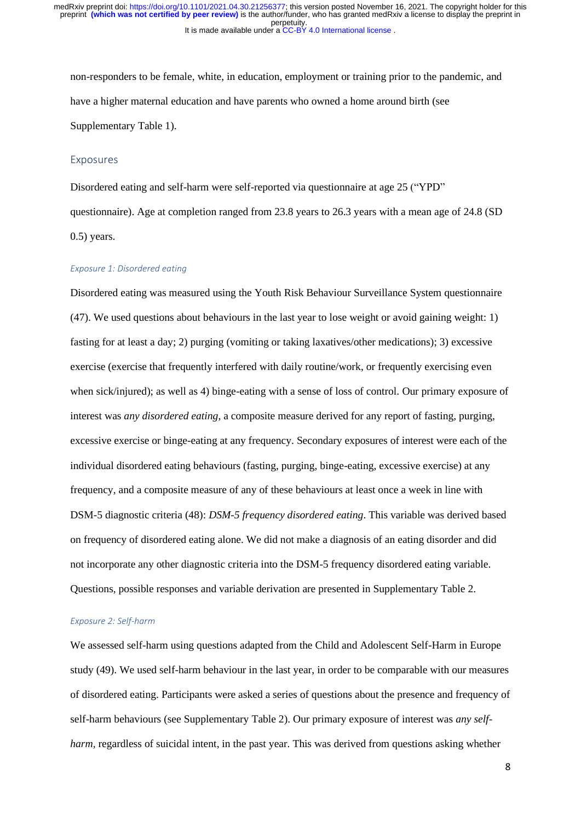non-responders to be female, white, in education, employment or training prior to the pandemic, and have a higher maternal education and have parents who owned a home around birth (see Supplementary Table 1).

#### Exposures

Disordered eating and self-harm were self-reported via questionnaire at age 25 ("YPD" questionnaire). Age at completion ranged from 23.8 years to 26.3 years with a mean age of 24.8 (SD 0.5) years.

## *Exposure 1: Disordered eating*

Disordered eating was measured using the Youth Risk Behaviour Surveillance System questionnaire (47). We used questions about behaviours in the last year to lose weight or avoid gaining weight: 1) fasting for at least a day; 2) purging (vomiting or taking laxatives/other medications); 3) excessive exercise (exercise that frequently interfered with daily routine/work, or frequently exercising even when sick/injured); as well as 4) binge-eating with a sense of loss of control. Our primary exposure of interest was *any disordered eating*, a composite measure derived for any report of fasting, purging, excessive exercise or binge-eating at any frequency. Secondary exposures of interest were each of the individual disordered eating behaviours (fasting, purging, binge-eating, excessive exercise) at any frequency, and a composite measure of any of these behaviours at least once a week in line with DSM-5 diagnostic criteria (48): *DSM-5 frequency disordered eating*. This variable was derived based on frequency of disordered eating alone. We did not make a diagnosis of an eating disorder and did not incorporate any other diagnostic criteria into the DSM-5 frequency disordered eating variable. Questions, possible responses and variable derivation are presented in Supplementary Table 2.

#### *Exposure 2: Self-harm*

We assessed self-harm using questions adapted from the Child and Adolescent Self-Harm in Europe study (49). We used self-harm behaviour in the last year, in order to be comparable with our measures of disordered eating. Participants were asked a series of questions about the presence and frequency of self-harm behaviours (see Supplementary Table 2). Our primary exposure of interest was *any selfharm*, regardless of suicidal intent, in the past year. This was derived from questions asking whether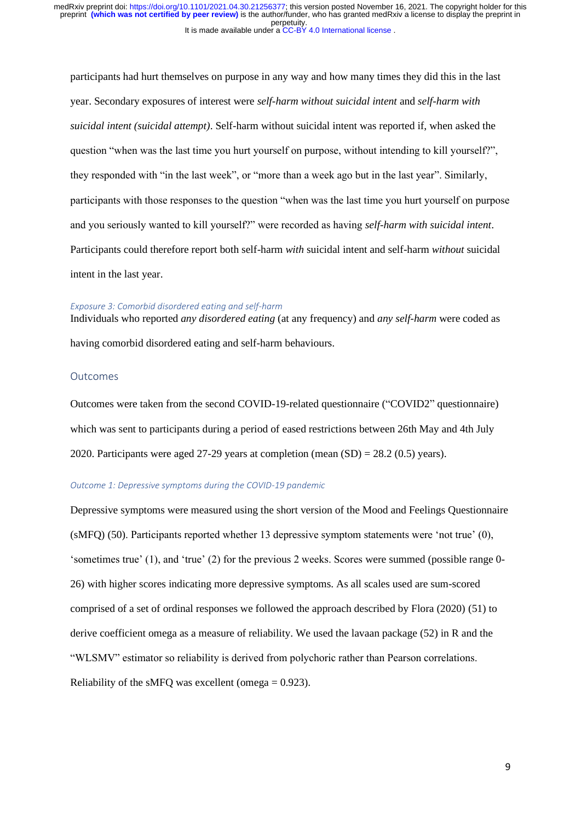participants had hurt themselves on purpose in any way and how many times they did this in the last year. Secondary exposures of interest were *self-harm without suicidal intent* and *self-harm with suicidal intent (suicidal attempt)*. Self-harm without suicidal intent was reported if, when asked the question "when was the last time you hurt yourself on purpose, without intending to kill yourself?", they responded with "in the last week", or "more than a week ago but in the last year". Similarly, participants with those responses to the question "when was the last time you hurt yourself on purpose and you seriously wanted to kill yourself?" were recorded as having *self-harm with suicidal intent*. Participants could therefore report both self-harm *with* suicidal intent and self-harm *without* suicidal intent in the last year.

#### *Exposure 3: Comorbid disordered eating and self-harm*

Individuals who reported *any disordered eating* (at any frequency) and *any self-harm* were coded as having comorbid disordered eating and self-harm behaviours.

#### Outcomes

Outcomes were taken from the second COVID-19-related questionnaire ("COVID2" questionnaire) which was sent to participants during a period of eased restrictions between 26th May and 4th July 2020. Participants were aged 27-29 years at completion (mean  $(SD) = 28.2$  (0.5) years).

# *Outcome 1: Depressive symptoms during the COVID-19 pandemic*

Depressive symptoms were measured using the short version of the Mood and Feelings Questionnaire (sMFQ) (50). Participants reported whether 13 depressive symptom statements were 'not true' (0), 'sometimes true' (1), and 'true' (2) for the previous 2 weeks. Scores were summed (possible range 0- 26) with higher scores indicating more depressive symptoms. As all scales used are sum-scored comprised of a set of ordinal responses we followed the approach described by Flora (2020) (51) to derive coefficient omega as a measure of reliability. We used the lavaan package (52) in R and the "WLSMV" estimator so reliability is derived from polychoric rather than Pearson correlations. Reliability of the sMFQ was excellent (omega  $= 0.923$ ).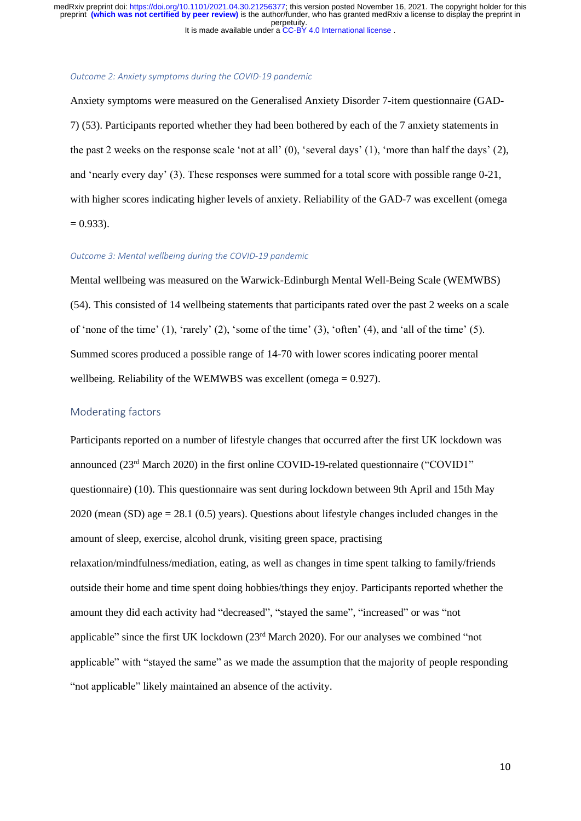#### *Outcome 2: Anxiety symptoms during the COVID-19 pandemic*

Anxiety symptoms were measured on the Generalised Anxiety Disorder 7-item questionnaire (GAD-7) (53). Participants reported whether they had been bothered by each of the 7 anxiety statements in the past 2 weeks on the response scale 'not at all' (0), 'several days' (1), 'more than half the days' (2), and 'nearly every day' (3). These responses were summed for a total score with possible range 0-21, with higher scores indicating higher levels of anxiety. Reliability of the GAD-7 was excellent (omega  $= 0.933$ ).

#### *Outcome 3: Mental wellbeing during the COVID-19 pandemic*

Mental wellbeing was measured on the Warwick-Edinburgh Mental Well-Being Scale (WEMWBS) (54). This consisted of 14 wellbeing statements that participants rated over the past 2 weeks on a scale of 'none of the time'  $(1)$ , 'rarely'  $(2)$ , 'some of the time'  $(3)$ , 'often'  $(4)$ , and 'all of the time'  $(5)$ . Summed scores produced a possible range of 14-70 with lower scores indicating poorer mental wellbeing. Reliability of the WEMWBS was excellent (omega = 0.927).

## Moderating factors

Participants reported on a number of lifestyle changes that occurred after the first UK lockdown was announced  $(23<sup>rd</sup> March 2020)$  in the first online COVID-19-related questionnaire ("COVID1" questionnaire) (10). This questionnaire was sent during lockdown between 9th April and 15th May 2020 (mean (SD) age = 28.1 (0.5) years). Questions about lifestyle changes included changes in the amount of sleep, exercise, alcohol drunk, visiting green space, practising relaxation/mindfulness/mediation, eating, as well as changes in time spent talking to family/friends outside their home and time spent doing hobbies/things they enjoy. Participants reported whether the amount they did each activity had "decreased", "stayed the same", "increased" or was "not applicable" since the first UK lockdown (23rd March 2020). For our analyses we combined "not applicable" with "stayed the same" as we made the assumption that the majority of people responding "not applicable" likely maintained an absence of the activity.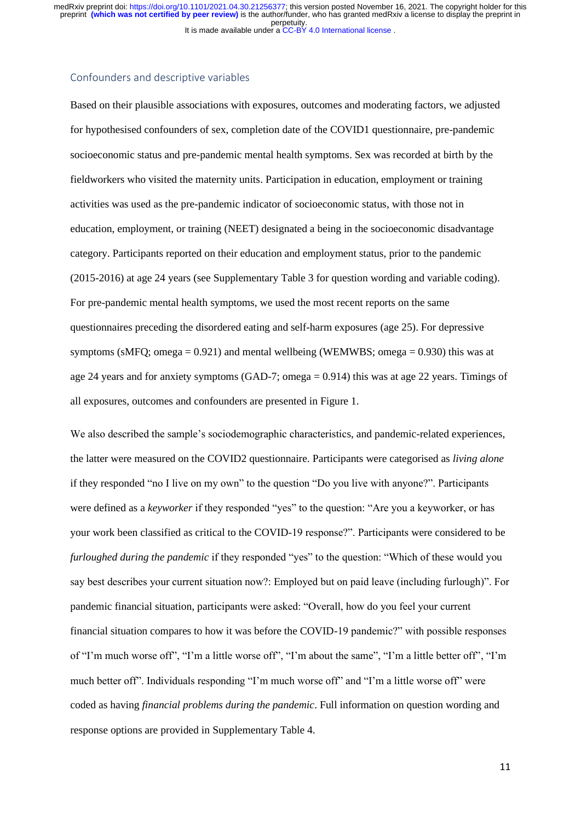It is made available under a CC-BY 4.0 International license. perpetuity. preprint **(which was not certified by peer review)** is the author/funder, who has granted medRxiv a license to display the preprint in medRxiv preprint doi: [https://doi.org/10.1101/2021.04.30.21256377;](https://doi.org/10.1101/2021.04.30.21256377) this version posted November 16, 2021. The copyright holder for this

## Confounders and descriptive variables

Based on their plausible associations with exposures, outcomes and moderating factors, we adjusted for hypothesised confounders of sex, completion date of the COVID1 questionnaire, pre-pandemic socioeconomic status and pre-pandemic mental health symptoms. Sex was recorded at birth by the fieldworkers who visited the maternity units. Participation in education, employment or training activities was used as the pre-pandemic indicator of socioeconomic status, with those not in education, employment, or training (NEET) designated a being in the socioeconomic disadvantage category. Participants reported on their education and employment status, prior to the pandemic (2015-2016) at age 24 years (see Supplementary Table 3 for question wording and variable coding). For pre-pandemic mental health symptoms, we used the most recent reports on the same questionnaires preceding the disordered eating and self-harm exposures (age 25). For depressive symptoms (sMFQ; omega =  $0.921$ ) and mental wellbeing (WEMWBS; omega =  $0.930$ ) this was at age 24 years and for anxiety symptoms (GAD-7; omega = 0.914) this was at age 22 years. Timings of all exposures, outcomes and confounders are presented in Figure 1.

We also described the sample's sociodemographic characteristics, and pandemic-related experiences, the latter were measured on the COVID2 questionnaire. Participants were categorised as *living alone* if they responded "no I live on my own" to the question "Do you live with anyone?". Participants were defined as a *keyworker* if they responded "yes" to the question: "Are you a keyworker, or has your work been classified as critical to the COVID-19 response?". Participants were considered to be *furloughed during the pandemic* if they responded "yes" to the question: "Which of these would you say best describes your current situation now?: Employed but on paid leave (including furlough)". For pandemic financial situation, participants were asked: "Overall, how do you feel your current financial situation compares to how it was before the COVID-19 pandemic?" with possible responses of "I'm much worse off", "I'm a little worse off", "I'm about the same", "I'm a little better off", "I'm much better off". Individuals responding "I'm much worse off" and "I'm a little worse off" were coded as having *financial problems during the pandemic*. Full information on question wording and response options are provided in Supplementary Table 4.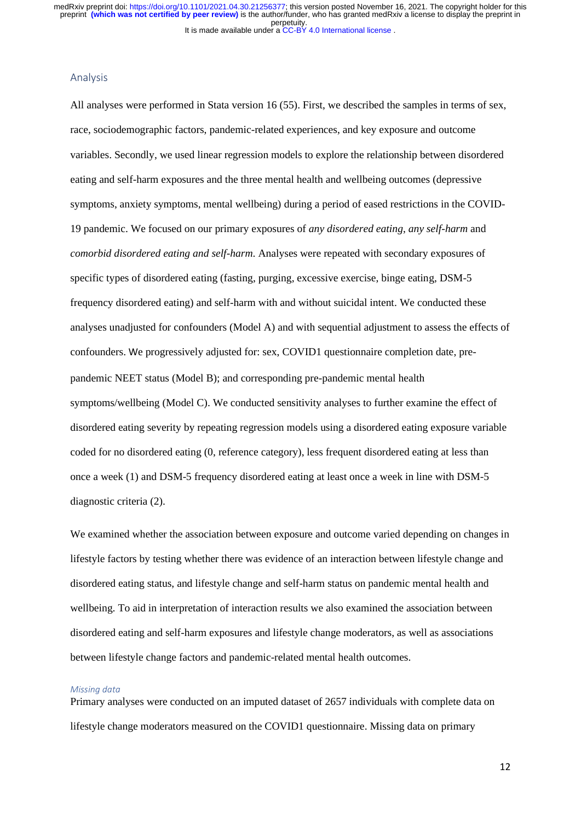#### Analysis

All analyses were performed in Stata version 16 (55). First, we described the samples in terms of sex, race, sociodemographic factors, pandemic-related experiences, and key exposure and outcome variables. Secondly, we used linear regression models to explore the relationship between disordered eating and self-harm exposures and the three mental health and wellbeing outcomes (depressive symptoms, anxiety symptoms, mental wellbeing) during a period of eased restrictions in the COVID-19 pandemic. We focused on our primary exposures of *any disordered eating*, *any self-harm* and *comorbid disordered eating and self-harm*. Analyses were repeated with secondary exposures of specific types of disordered eating (fasting, purging, excessive exercise, binge eating, DSM-5 frequency disordered eating) and self-harm with and without suicidal intent. We conducted these analyses unadjusted for confounders (Model A) and with sequential adjustment to assess the effects of confounders. We progressively adjusted for: sex, COVID1 questionnaire completion date, prepandemic NEET status (Model B); and corresponding pre-pandemic mental health symptoms/wellbeing (Model C). We conducted sensitivity analyses to further examine the effect of disordered eating severity by repeating regression models using a disordered eating exposure variable coded for no disordered eating (0, reference category), less frequent disordered eating at less than once a week (1) and DSM-5 frequency disordered eating at least once a week in line with DSM-5 diagnostic criteria (2).

We examined whether the association between exposure and outcome varied depending on changes in lifestyle factors by testing whether there was evidence of an interaction between lifestyle change and disordered eating status, and lifestyle change and self-harm status on pandemic mental health and wellbeing. To aid in interpretation of interaction results we also examined the association between disordered eating and self-harm exposures and lifestyle change moderators, as well as associations between lifestyle change factors and pandemic-related mental health outcomes.

#### *Missing data*

Primary analyses were conducted on an imputed dataset of 2657 individuals with complete data on lifestyle change moderators measured on the COVID1 questionnaire. Missing data on primary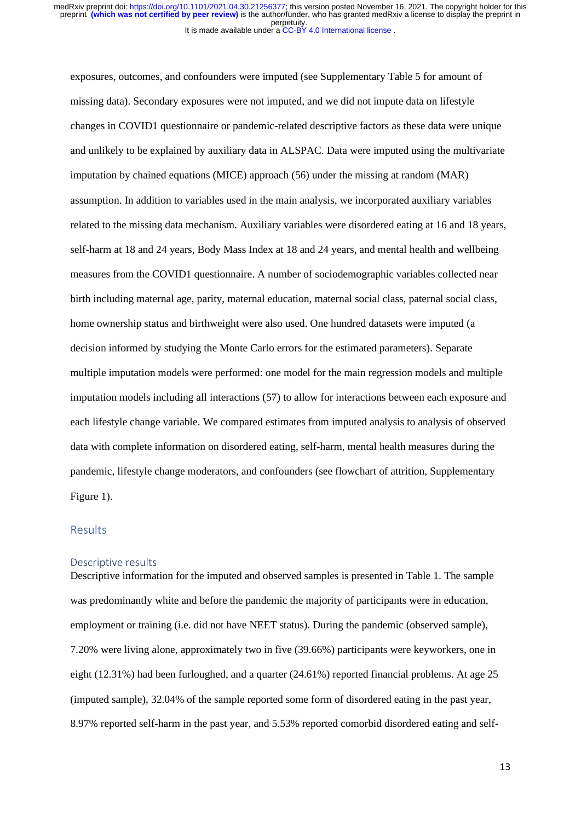exposures, outcomes, and confounders were imputed (see Supplementary Table 5 for amount of missing data). Secondary exposures were not imputed, and we did not impute data on lifestyle changes in COVID1 questionnaire or pandemic-related descriptive factors as these data were unique and unlikely to be explained by auxiliary data in ALSPAC. Data were imputed using the multivariate imputation by chained equations (MICE) approach (56) under the missing at random (MAR) assumption. In addition to variables used in the main analysis, we incorporated auxiliary variables related to the missing data mechanism. Auxiliary variables were disordered eating at 16 and 18 years, self-harm at 18 and 24 years, Body Mass Index at 18 and 24 years, and mental health and wellbeing measures from the COVID1 questionnaire. A number of sociodemographic variables collected near birth including maternal age, parity, maternal education, maternal social class, paternal social class, home ownership status and birthweight were also used. One hundred datasets were imputed (a decision informed by studying the Monte Carlo errors for the estimated parameters). Separate multiple imputation models were performed: one model for the main regression models and multiple imputation models including all interactions (57) to allow for interactions between each exposure and each lifestyle change variable. We compared estimates from imputed analysis to analysis of observed data with complete information on disordered eating, self-harm, mental health measures during the pandemic, lifestyle change moderators, and confounders (see flowchart of attrition, Supplementary Figure 1).

# **Results**

#### Descriptive results

Descriptive information for the imputed and observed samples is presented in Table 1. The sample was predominantly white and before the pandemic the majority of participants were in education, employment or training (i.e. did not have NEET status). During the pandemic (observed sample), 7.20% were living alone, approximately two in five (39.66%) participants were keyworkers, one in eight (12.31%) had been furloughed, and a quarter (24.61%) reported financial problems. At age 25 (imputed sample), 32.04% of the sample reported some form of disordered eating in the past year, 8.97% reported self-harm in the past year, and 5.53% reported comorbid disordered eating and self-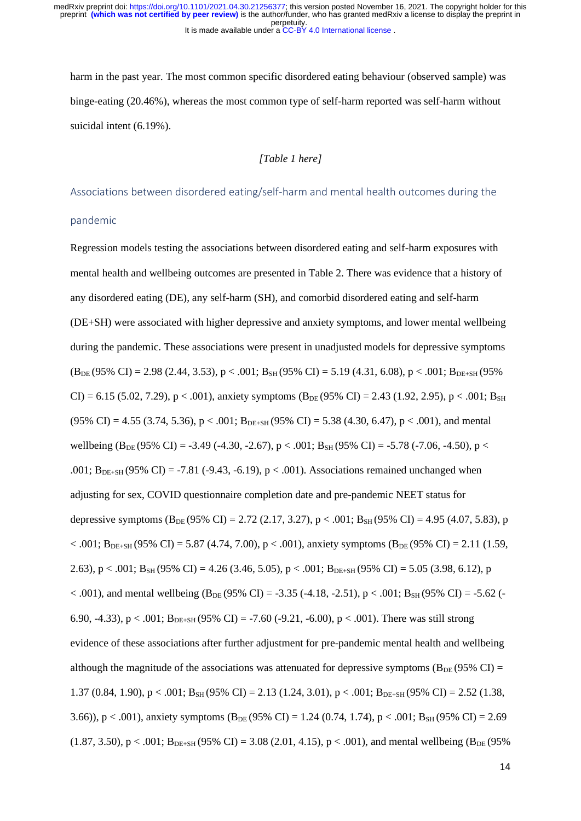It is made available under a CC-BY 4.0 International license. perpetuity. preprint **(which was not certified by peer review)** is the author/funder, who has granted medRxiv a license to display the preprint in medRxiv preprint doi: [https://doi.org/10.1101/2021.04.30.21256377;](https://doi.org/10.1101/2021.04.30.21256377) this version posted November 16, 2021. The copyright holder for this

harm in the past year. The most common specific disordered eating behaviour (observed sample) was binge-eating (20.46%), whereas the most common type of self-harm reported was self-harm without suicidal intent (6.19%).

# *[Table 1 here]*

Associations between disordered eating/self-harm and mental health outcomes during the

### pandemic

Regression models testing the associations between disordered eating and self-harm exposures with mental health and wellbeing outcomes are presented in Table 2. There was evidence that a history of any disordered eating (DE), any self-harm (SH), and comorbid disordered eating and self-harm (DE+SH) were associated with higher depressive and anxiety symptoms, and lower mental wellbeing during the pandemic. These associations were present in unadjusted models for depressive symptoms  $(B_{DE} (95\% \text{ CI}) = 2.98 \ (2.44, 3.53), p < .001; B_{SH} (95\% \text{ CI}) = 5.19 \ (4.31, 6.08), p < .001; B_{DE+SH} (95\% \text{ CI})$  $CI$ ) = 6.15 (5.02, 7.29), p < .001), anxiety symptoms ( $B_{DE}$  (95% CI) = 2.43 (1.92, 2.95), p < .001;  $B_{SH}$  $(95\% \text{ CI}) = 4.55 (3.74, 5.36), p < .001; B_{DE+SH} (95\% \text{ CI}) = 5.38 (4.30, 6.47), p < .001$ , and mental wellbeing (B<sub>DE</sub> (95% CI) = -3.49 (-4.30, -2.67), p < .001; B<sub>SH</sub> (95% CI) = -5.78 (-7.06, -4.50), p < .001;  $B_{DE+SH}$  (95% CI) = -7.81 (-9.43, -6.19), p < .001). Associations remained unchanged when adjusting for sex, COVID questionnaire completion date and pre-pandemic NEET status for depressive symptoms ( $B_{DE}$  (95% CI) = 2.72 (2.17, 3.27), p < .001;  $B_{SH}$  (95% CI) = 4.95 (4.07, 5.83), p  $< .001$ ; B<sub>DE+SH</sub> (95% CI) = 5.87 (4.74, 7.00), p < .001), anxiety symptoms (B<sub>DE</sub> (95% CI) = 2.11 (1.59, 2.63), p < .001; B<sub>SH</sub> (95% CI) = 4.26 (3.46, 5.05), p < .001; B<sub>DE+SH</sub> (95% CI) = 5.05 (3.98, 6.12), p  $< .001$ ), and mental wellbeing (B<sub>DE</sub> (95% CI) = -3.35 (-4.18, -2.51), p  $< .001$ ; B<sub>SH</sub> (95% CI) = -5.62 (-6.90, -4.33), p < .001;  $B_{DE+SH}$  (95% CI) = -7.60 (-9.21, -6.00), p < .001). There was still strong evidence of these associations after further adjustment for pre-pandemic mental health and wellbeing although the magnitude of the associations was attenuated for depressive symptoms ( $B_{DE}$  (95% CI) = 1.37 (0.84, 1.90), p < .001; B<sub>SH</sub> (95% CI) = 2.13 (1.24, 3.01), p < .001; B<sub>DE+SH</sub> (95% CI) = 2.52 (1.38, 3.66)), p < .001), anxiety symptoms  $(B_{DE} (95\% \text{ CI}) = 1.24 (0.74, 1.74)$ , p < .001;  $B_{SH} (95\% \text{ CI}) = 2.69$  $(1.87, 3.50), p < .001$ ; B<sub>DE+SH</sub> (95% CI) = 3.08 (2.01, 4.15), p < .001), and mental wellbeing (B<sub>DE</sub> (95%)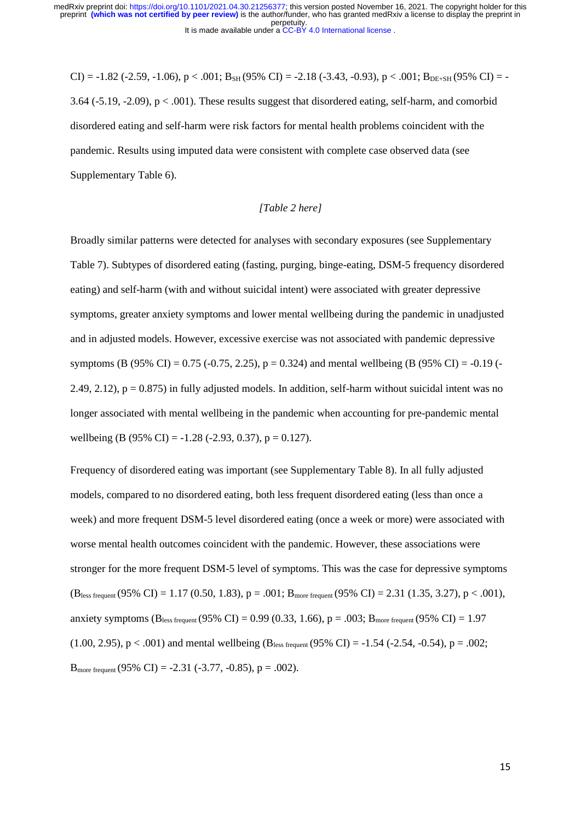CI) = -1.82 (-2.59, -1.06), p < .001; B<sub>SH</sub> (95% CI) = -2.18 (-3.43, -0.93), p < .001; B<sub>DE+SH</sub> (95% CI) = -3.64 (-5.19, -2.09), p < .001). These results suggest that disordered eating, self-harm, and comorbid disordered eating and self-harm were risk factors for mental health problems coincident with the pandemic. Results using imputed data were consistent with complete case observed data (see Supplementary Table 6).

# *[Table 2 here]*

Broadly similar patterns were detected for analyses with secondary exposures (see Supplementary Table 7). Subtypes of disordered eating (fasting, purging, binge-eating, DSM-5 frequency disordered eating) and self-harm (with and without suicidal intent) were associated with greater depressive symptoms, greater anxiety symptoms and lower mental wellbeing during the pandemic in unadjusted and in adjusted models. However, excessive exercise was not associated with pandemic depressive symptoms (B (95% CI) = 0.75 (-0.75, 2.25), p = 0.324) and mental wellbeing (B (95% CI) = -0.19 (-2.49, 2.12),  $p = 0.875$  in fully adjusted models. In addition, self-harm without suicidal intent was no longer associated with mental wellbeing in the pandemic when accounting for pre-pandemic mental wellbeing (B (95% CI) = -1.28 (-2.93, 0.37), p = 0.127).

Frequency of disordered eating was important (see Supplementary Table 8). In all fully adjusted models, compared to no disordered eating, both less frequent disordered eating (less than once a week) and more frequent DSM-5 level disordered eating (once a week or more) were associated with worse mental health outcomes coincident with the pandemic. However, these associations were stronger for the more frequent DSM-5 level of symptoms. This was the case for depressive symptoms  $(B_{less frequent} (95\% \text{ CI}) = 1.17 (0.50, 1.83), p = .001; B_{more frequent} (95\% \text{ CI}) = 2.31 (1.35, 3.27), p < .001$ anxiety symptoms (B<sub>less frequent</sub> (95% CI) = 0.99 (0.33, 1.66), p = .003; B<sub>more frequent</sub> (95% CI) = 1.97  $(1.00, 2.95), p < .001$  and mental wellbeing (B<sub>less frequent</sub> (95% CI) = -1.54 (-2.54, -0.54), p = .002; B<sub>more frequent</sub> (95% CI) = -2.31 (-3.77, -0.85),  $p = .002$ ).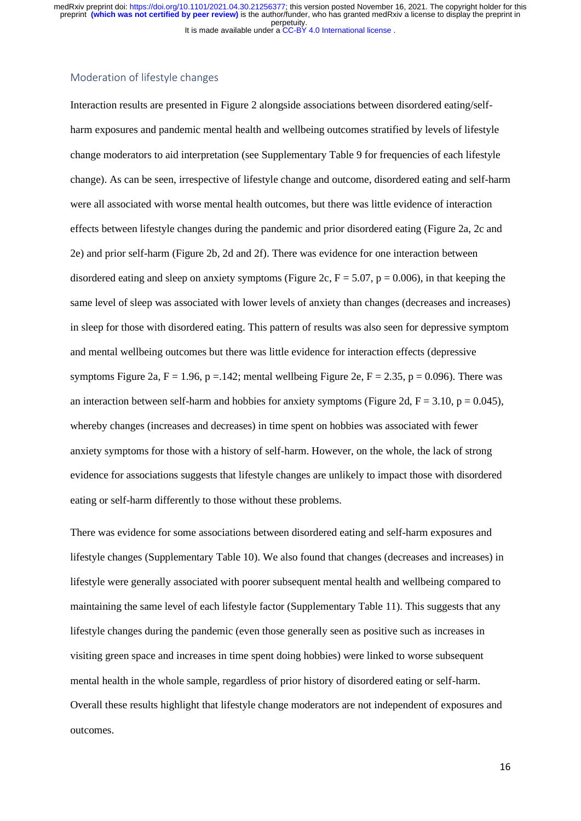# Moderation of lifestyle changes

Interaction results are presented in Figure 2 alongside associations between disordered eating/selfharm exposures and pandemic mental health and wellbeing outcomes stratified by levels of lifestyle change moderators to aid interpretation (see Supplementary Table 9 for frequencies of each lifestyle change). As can be seen, irrespective of lifestyle change and outcome, disordered eating and self-harm were all associated with worse mental health outcomes, but there was little evidence of interaction effects between lifestyle changes during the pandemic and prior disordered eating (Figure 2a, 2c and 2e) and prior self-harm (Figure 2b, 2d and 2f). There was evidence for one interaction between disordered eating and sleep on anxiety symptoms (Figure 2c,  $F = 5.07$ ,  $p = 0.006$ ), in that keeping the same level of sleep was associated with lower levels of anxiety than changes (decreases and increases) in sleep for those with disordered eating. This pattern of results was also seen for depressive symptom and mental wellbeing outcomes but there was little evidence for interaction effects (depressive symptoms Figure 2a,  $F = 1.96$ , p = 142; mental wellbeing Figure 2e,  $F = 2.35$ , p = 0.096). There was an interaction between self-harm and hobbies for anxiety symptoms (Figure 2d,  $F = 3.10$ ,  $p = 0.045$ ), whereby changes (increases and decreases) in time spent on hobbies was associated with fewer anxiety symptoms for those with a history of self-harm. However, on the whole, the lack of strong evidence for associations suggests that lifestyle changes are unlikely to impact those with disordered eating or self-harm differently to those without these problems.

There was evidence for some associations between disordered eating and self-harm exposures and lifestyle changes (Supplementary Table 10). We also found that changes (decreases and increases) in lifestyle were generally associated with poorer subsequent mental health and wellbeing compared to maintaining the same level of each lifestyle factor (Supplementary Table 11). This suggests that any lifestyle changes during the pandemic (even those generally seen as positive such as increases in visiting green space and increases in time spent doing hobbies) were linked to worse subsequent mental health in the whole sample, regardless of prior history of disordered eating or self-harm. Overall these results highlight that lifestyle change moderators are not independent of exposures and outcomes.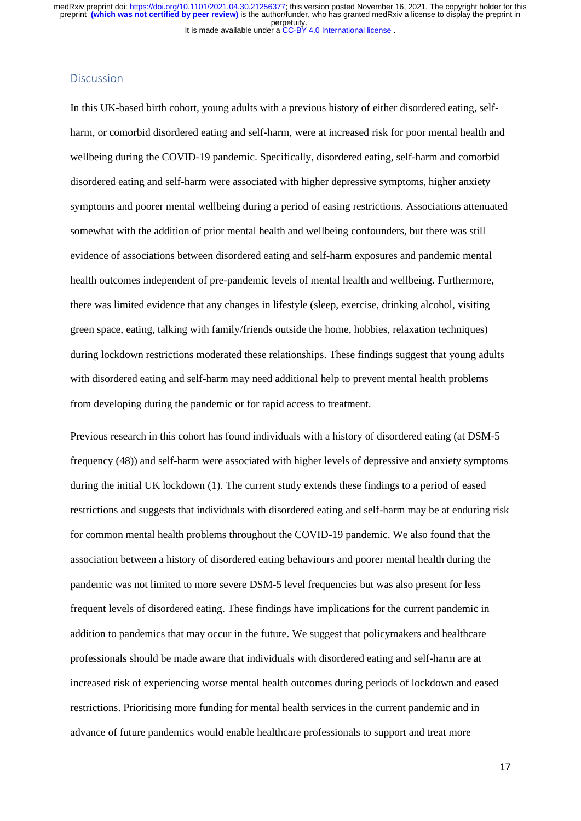# Discussion

In this UK-based birth cohort, young adults with a previous history of either disordered eating, selfharm, or comorbid disordered eating and self-harm, were at increased risk for poor mental health and wellbeing during the COVID-19 pandemic. Specifically, disordered eating, self-harm and comorbid disordered eating and self-harm were associated with higher depressive symptoms, higher anxiety symptoms and poorer mental wellbeing during a period of easing restrictions. Associations attenuated somewhat with the addition of prior mental health and wellbeing confounders, but there was still evidence of associations between disordered eating and self-harm exposures and pandemic mental health outcomes independent of pre-pandemic levels of mental health and wellbeing. Furthermore, there was limited evidence that any changes in lifestyle (sleep, exercise, drinking alcohol, visiting green space, eating, talking with family/friends outside the home, hobbies, relaxation techniques) during lockdown restrictions moderated these relationships. These findings suggest that young adults with disordered eating and self-harm may need additional help to prevent mental health problems from developing during the pandemic or for rapid access to treatment.

Previous research in this cohort has found individuals with a history of disordered eating (at DSM-5 frequency (48)) and self-harm were associated with higher levels of depressive and anxiety symptoms during the initial UK lockdown (1). The current study extends these findings to a period of eased restrictions and suggests that individuals with disordered eating and self-harm may be at enduring risk for common mental health problems throughout the COVID-19 pandemic. We also found that the association between a history of disordered eating behaviours and poorer mental health during the pandemic was not limited to more severe DSM-5 level frequencies but was also present for less frequent levels of disordered eating. These findings have implications for the current pandemic in addition to pandemics that may occur in the future. We suggest that policymakers and healthcare professionals should be made aware that individuals with disordered eating and self-harm are at increased risk of experiencing worse mental health outcomes during periods of lockdown and eased restrictions. Prioritising more funding for mental health services in the current pandemic and in advance of future pandemics would enable healthcare professionals to support and treat more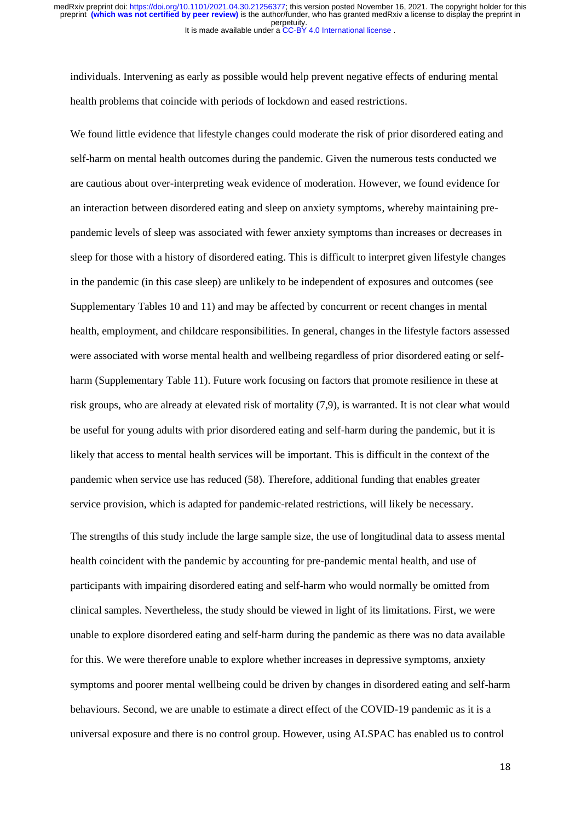individuals. Intervening as early as possible would help prevent negative effects of enduring mental health problems that coincide with periods of lockdown and eased restrictions.

We found little evidence that lifestyle changes could moderate the risk of prior disordered eating and self-harm on mental health outcomes during the pandemic. Given the numerous tests conducted we are cautious about over-interpreting weak evidence of moderation. However, we found evidence for an interaction between disordered eating and sleep on anxiety symptoms, whereby maintaining prepandemic levels of sleep was associated with fewer anxiety symptoms than increases or decreases in sleep for those with a history of disordered eating. This is difficult to interpret given lifestyle changes in the pandemic (in this case sleep) are unlikely to be independent of exposures and outcomes (see Supplementary Tables 10 and 11) and may be affected by concurrent or recent changes in mental health, employment, and childcare responsibilities. In general, changes in the lifestyle factors assessed were associated with worse mental health and wellbeing regardless of prior disordered eating or selfharm (Supplementary Table 11). Future work focusing on factors that promote resilience in these at risk groups, who are already at elevated risk of mortality (7,9), is warranted. It is not clear what would be useful for young adults with prior disordered eating and self-harm during the pandemic, but it is likely that access to mental health services will be important. This is difficult in the context of the pandemic when service use has reduced (58). Therefore, additional funding that enables greater service provision, which is adapted for pandemic-related restrictions, will likely be necessary.

The strengths of this study include the large sample size, the use of longitudinal data to assess mental health coincident with the pandemic by accounting for pre-pandemic mental health, and use of participants with impairing disordered eating and self-harm who would normally be omitted from clinical samples. Nevertheless, the study should be viewed in light of its limitations. First, we were unable to explore disordered eating and self-harm during the pandemic as there was no data available for this. We were therefore unable to explore whether increases in depressive symptoms, anxiety symptoms and poorer mental wellbeing could be driven by changes in disordered eating and self-harm behaviours. Second, we are unable to estimate a direct effect of the COVID-19 pandemic as it is a universal exposure and there is no control group. However, using ALSPAC has enabled us to control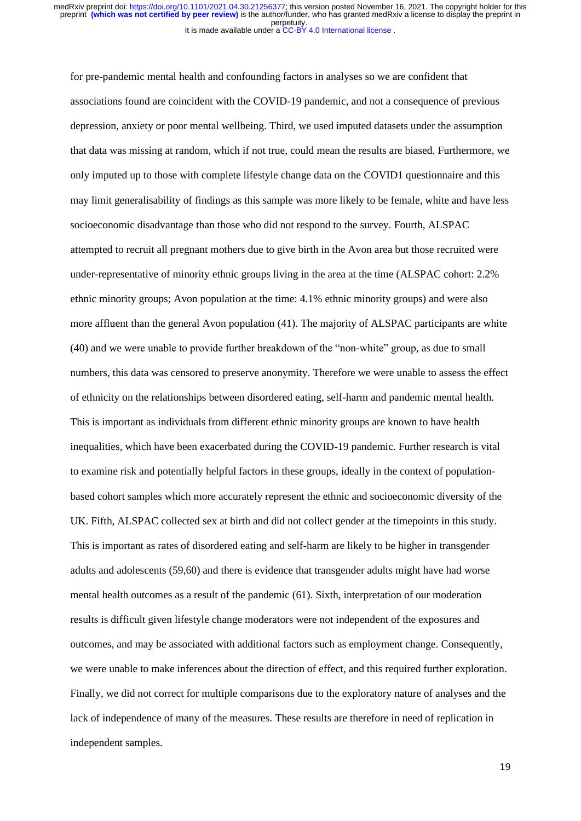for pre-pandemic mental health and confounding factors in analyses so we are confident that associations found are coincident with the COVID-19 pandemic, and not a consequence of previous depression, anxiety or poor mental wellbeing. Third, we used imputed datasets under the assumption that data was missing at random, which if not true, could mean the results are biased. Furthermore, we only imputed up to those with complete lifestyle change data on the COVID1 questionnaire and this may limit generalisability of findings as this sample was more likely to be female, white and have less socioeconomic disadvantage than those who did not respond to the survey. Fourth, ALSPAC attempted to recruit all pregnant mothers due to give birth in the Avon area but those recruited were under-representative of minority ethnic groups living in the area at the time (ALSPAC cohort: 2.2% ethnic minority groups; Avon population at the time: 4.1% ethnic minority groups) and were also more affluent than the general Avon population (41). The majority of ALSPAC participants are white (40) and we were unable to provide further breakdown of the "non-white" group, as due to small numbers, this data was censored to preserve anonymity. Therefore we were unable to assess the effect of ethnicity on the relationships between disordered eating, self-harm and pandemic mental health. This is important as individuals from different ethnic minority groups are known to have health inequalities, which have been exacerbated during the COVID-19 pandemic. Further research is vital to examine risk and potentially helpful factors in these groups, ideally in the context of populationbased cohort samples which more accurately represent the ethnic and socioeconomic diversity of the UK. Fifth, ALSPAC collected sex at birth and did not collect gender at the timepoints in this study. This is important as rates of disordered eating and self-harm are likely to be higher in transgender adults and adolescents (59,60) and there is evidence that transgender adults might have had worse mental health outcomes as a result of the pandemic (61). Sixth, interpretation of our moderation results is difficult given lifestyle change moderators were not independent of the exposures and outcomes, and may be associated with additional factors such as employment change. Consequently, we were unable to make inferences about the direction of effect, and this required further exploration. Finally, we did not correct for multiple comparisons due to the exploratory nature of analyses and the lack of independence of many of the measures. These results are therefore in need of replication in independent samples.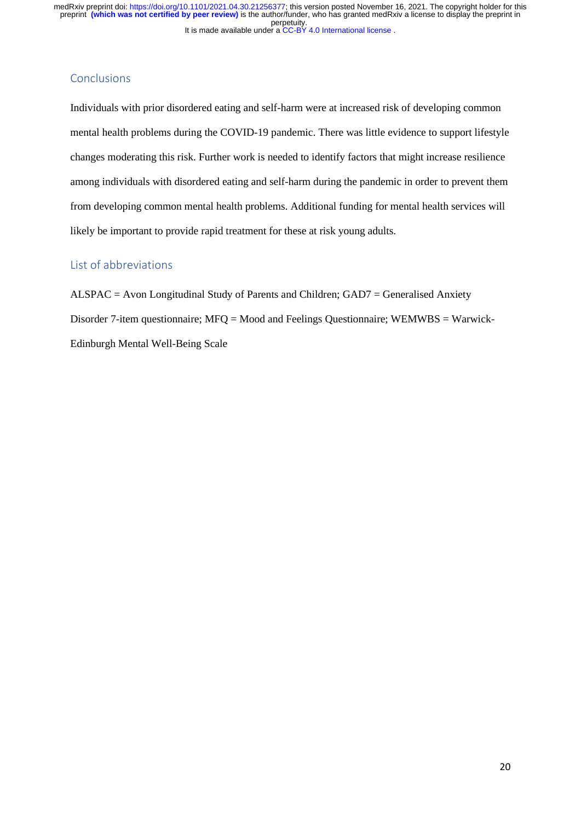# **Conclusions**

Individuals with prior disordered eating and self-harm were at increased risk of developing common mental health problems during the COVID-19 pandemic. There was little evidence to support lifestyle changes moderating this risk. Further work is needed to identify factors that might increase resilience among individuals with disordered eating and self-harm during the pandemic in order to prevent them from developing common mental health problems. Additional funding for mental health services will likely be important to provide rapid treatment for these at risk young adults.

# List of abbreviations

ALSPAC = Avon Longitudinal Study of Parents and Children; GAD7 = Generalised Anxiety Disorder 7-item questionnaire; MFQ = Mood and Feelings Questionnaire; WEMWBS = Warwick-Edinburgh Mental Well-Being Scale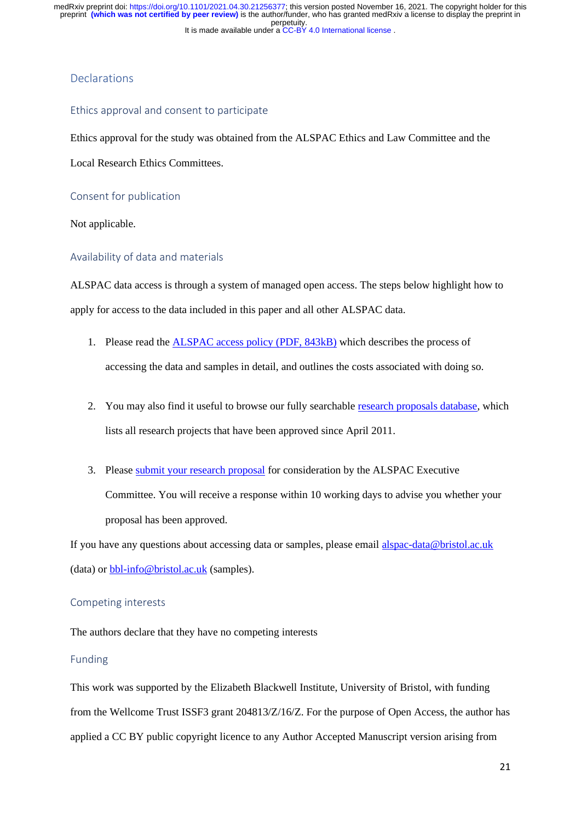# Declarations

# Ethics approval and consent to participate

Ethics approval for the study was obtained from the ALSPAC Ethics and Law Committee and the

Local Research Ethics Committees.

Consent for publication

Not applicable.

# Availability of data and materials

ALSPAC data access is through a system of managed open access. The steps below highlight how to apply for access to the data included in this paper and all other ALSPAC data.

- 1. Please read th[e ALSPAC access policy \(PDF, 843kB\)](http://www.bristol.ac.uk/media-library/sites/alspac/documents/researchers/data-access/ALSPAC_Access_Policy.pdf) which describes the process of accessing the data and samples in detail, and outlines the costs associated with doing so.
- 2. You may also find it useful to browse our fully searchabl[e research proposals database,](https://proposals.epi.bristol.ac.uk/) which lists all research projects that have been approved since April 2011.
- 3. Please [submit your research proposal](https://proposals.epi.bristol.ac.uk/) for consideration by the ALSPAC Executive Committee. You will receive a response within 10 working days to advise you whether your proposal has been approved.

If you have any questions about accessing data or samples, please email [alspac-data@bristol.ac.uk](mailto:alspac-data@bristol.ac.uk) (data) or [bbl-info@bristol.ac.uk](mailto:bbl-info@bristol.ac.uk) (samples).

# Competing interests

The authors declare that they have no competing interests

# Funding

This work was supported by the Elizabeth Blackwell Institute, University of Bristol, with funding from the Wellcome Trust ISSF3 grant 204813/Z/16/Z. For the purpose of Open Access, the author has applied a CC BY public copyright licence to any Author Accepted Manuscript version arising from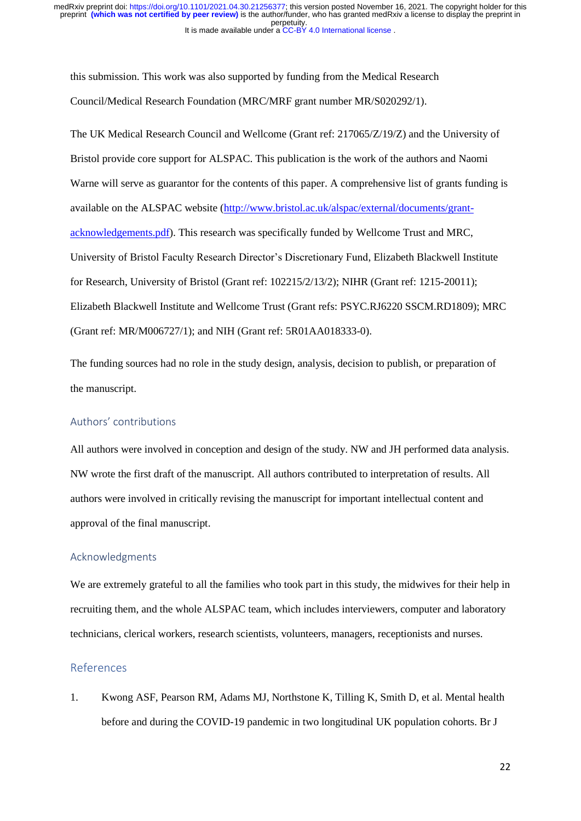this submission. This work was also supported by funding from the Medical Research Council/Medical Research Foundation (MRC/MRF grant number MR/S020292/1).

The UK Medical Research Council and Wellcome (Grant ref: 217065/Z/19/Z) and the University of Bristol provide core support for ALSPAC. This publication is the work of the authors and Naomi Warne will serve as guarantor for the contents of this paper. A comprehensive list of grants funding is available on the ALSPAC website [\(http://www.bristol.ac.uk/alspac/external/documents/grant](http://www.bristol.ac.uk/alspac/external/documents/grant-acknowledgements.pdf)[acknowledgements.pdf\)](http://www.bristol.ac.uk/alspac/external/documents/grant-acknowledgements.pdf). This research was specifically funded by Wellcome Trust and MRC, University of Bristol Faculty Research Director's Discretionary Fund, Elizabeth Blackwell Institute for Research, University of Bristol (Grant ref: 102215/2/13/2); NIHR (Grant ref: 1215-20011); Elizabeth Blackwell Institute and Wellcome Trust (Grant refs: PSYC.RJ6220 SSCM.RD1809); MRC (Grant ref: MR/M006727/1); and NIH (Grant ref: 5R01AA018333-0).

The funding sources had no role in the study design, analysis, decision to publish, or preparation of the manuscript.

# Authors' contributions

All authors were involved in conception and design of the study. NW and JH performed data analysis. NW wrote the first draft of the manuscript. All authors contributed to interpretation of results. All authors were involved in critically revising the manuscript for important intellectual content and approval of the final manuscript.

# Acknowledgments

We are extremely grateful to all the families who took part in this study, the midwives for their help in recruiting them, and the whole ALSPAC team, which includes interviewers, computer and laboratory technicians, clerical workers, research scientists, volunteers, managers, receptionists and nurses.

# References

1. Kwong ASF, Pearson RM, Adams MJ, Northstone K, Tilling K, Smith D, et al. Mental health before and during the COVID-19 pandemic in two longitudinal UK population cohorts. Br J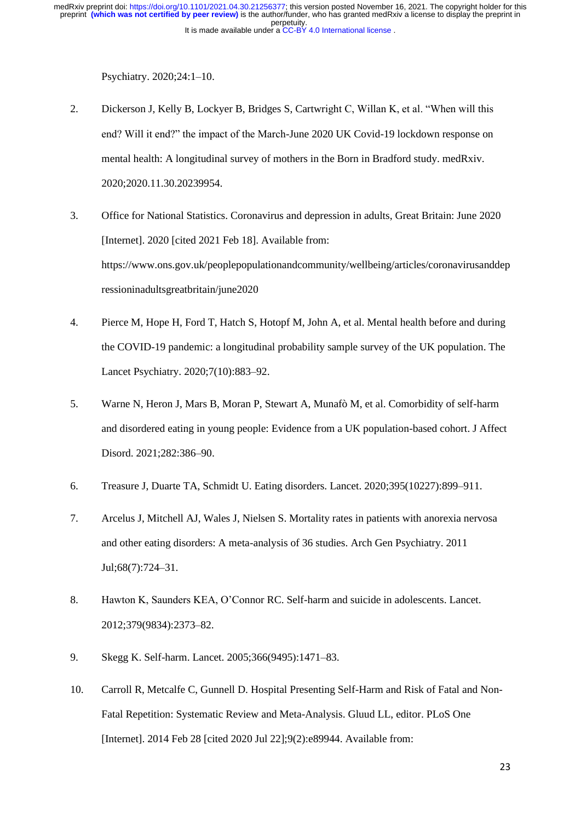Psychiatry. 2020;24:1–10.

- 2. Dickerson J, Kelly B, Lockyer B, Bridges S, Cartwright C, Willan K, et al. "When will this end? Will it end?" the impact of the March-June 2020 UK Covid-19 lockdown response on mental health: A longitudinal survey of mothers in the Born in Bradford study. medRxiv. 2020;2020.11.30.20239954.
- 3. Office for National Statistics. Coronavirus and depression in adults, Great Britain: June 2020 [Internet]. 2020 [cited 2021 Feb 18]. Available from: https://www.ons.gov.uk/peoplepopulationandcommunity/wellbeing/articles/coronavirusanddep ressioninadultsgreatbritain/june2020
- 4. Pierce M, Hope H, Ford T, Hatch S, Hotopf M, John A, et al. Mental health before and during the COVID-19 pandemic: a longitudinal probability sample survey of the UK population. The Lancet Psychiatry. 2020;7(10):883–92.
- 5. Warne N, Heron J, Mars B, Moran P, Stewart A, Munafò M, et al. Comorbidity of self-harm and disordered eating in young people: Evidence from a UK population-based cohort. J Affect Disord. 2021;282:386–90.
- 6. Treasure J, Duarte TA, Schmidt U. Eating disorders. Lancet. 2020;395(10227):899–911.
- 7. Arcelus J, Mitchell AJ, Wales J, Nielsen S. Mortality rates in patients with anorexia nervosa and other eating disorders: A meta-analysis of 36 studies. Arch Gen Psychiatry. 2011 Jul;68(7):724–31.
- 8. Hawton K, Saunders KEA, O'Connor RC. Self-harm and suicide in adolescents. Lancet. 2012;379(9834):2373–82.
- 9. Skegg K. Self-harm. Lancet. 2005;366(9495):1471–83.
- 10. Carroll R, Metcalfe C, Gunnell D. Hospital Presenting Self-Harm and Risk of Fatal and Non-Fatal Repetition: Systematic Review and Meta-Analysis. Gluud LL, editor. PLoS One [Internet]. 2014 Feb 28 [cited 2020 Jul 22];9(2):e89944. Available from: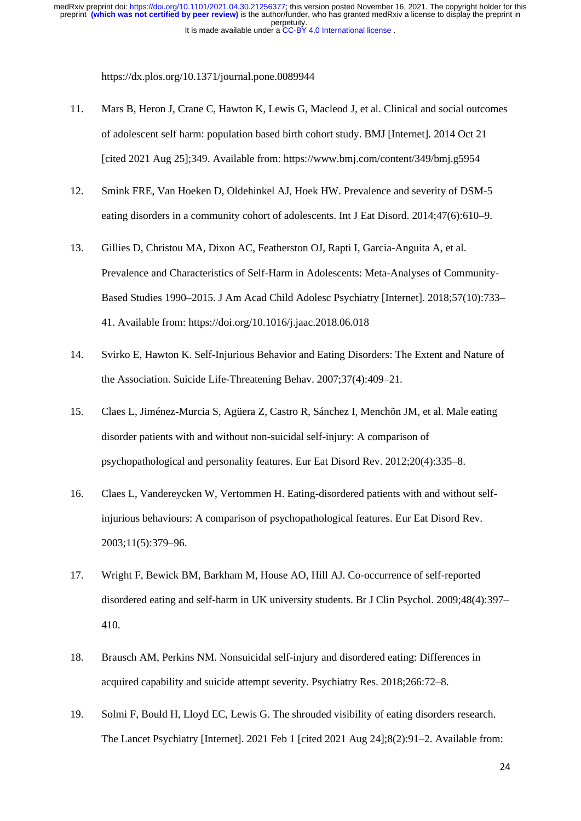https://dx.plos.org/10.1371/journal.pone.0089944

- 11. Mars B, Heron J, Crane C, Hawton K, Lewis G, Macleod J, et al. Clinical and social outcomes of adolescent self harm: population based birth cohort study. BMJ [Internet]. 2014 Oct 21 [cited 2021 Aug 25];349. Available from: https://www.bmj.com/content/349/bmj.g5954
- 12. Smink FRE, Van Hoeken D, Oldehinkel AJ, Hoek HW. Prevalence and severity of DSM-5 eating disorders in a community cohort of adolescents. Int J Eat Disord. 2014;47(6):610–9.
- 13. Gillies D, Christou MA, Dixon AC, Featherston OJ, Rapti I, Garcia-Anguita A, et al. Prevalence and Characteristics of Self-Harm in Adolescents: Meta-Analyses of Community-Based Studies 1990–2015. J Am Acad Child Adolesc Psychiatry [Internet]. 2018;57(10):733– 41. Available from: https://doi.org/10.1016/j.jaac.2018.06.018
- 14. Svirko E, Hawton K. Self-Injurious Behavior and Eating Disorders: The Extent and Nature of the Association. Suicide Life-Threatening Behav. 2007;37(4):409–21.
- 15. Claes L, Jiménez-Murcia S, Agüera Z, Castro R, Sánchez I, Menchõn JM, et al. Male eating disorder patients with and without non-suicidal self-injury: A comparison of psychopathological and personality features. Eur Eat Disord Rev. 2012;20(4):335–8.
- 16. Claes L, Vandereycken W, Vertommen H. Eating-disordered patients with and without selfinjurious behaviours: A comparison of psychopathological features. Eur Eat Disord Rev. 2003;11(5):379–96.
- 17. Wright F, Bewick BM, Barkham M, House AO, Hill AJ. Co-occurrence of self-reported disordered eating and self-harm in UK university students. Br J Clin Psychol. 2009;48(4):397– 410.
- 18. Brausch AM, Perkins NM. Nonsuicidal self-injury and disordered eating: Differences in acquired capability and suicide attempt severity. Psychiatry Res. 2018;266:72–8.
- 19. Solmi F, Bould H, Lloyd EC, Lewis G. The shrouded visibility of eating disorders research. The Lancet Psychiatry [Internet]. 2021 Feb 1 [cited 2021 Aug 24];8(2):91–2. Available from: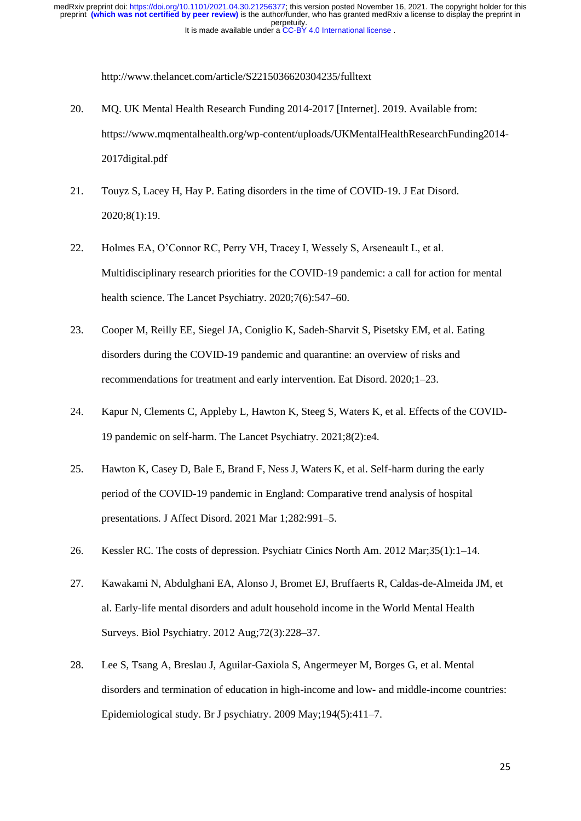http://www.thelancet.com/article/S2215036620304235/fulltext

- 20. MQ. UK Mental Health Research Funding 2014-2017 [Internet]. 2019. Available from: https://www.mqmentalhealth.org/wp-content/uploads/UKMentalHealthResearchFunding2014- 2017digital.pdf
- 21. Touyz S, Lacey H, Hay P. Eating disorders in the time of COVID-19. J Eat Disord. 2020;8(1):19.
- 22. Holmes EA, O'Connor RC, Perry VH, Tracey I, Wessely S, Arseneault L, et al. Multidisciplinary research priorities for the COVID-19 pandemic: a call for action for mental health science. The Lancet Psychiatry. 2020;7(6):547–60.
- 23. Cooper M, Reilly EE, Siegel JA, Coniglio K, Sadeh-Sharvit S, Pisetsky EM, et al. Eating disorders during the COVID-19 pandemic and quarantine: an overview of risks and recommendations for treatment and early intervention. Eat Disord. 2020;1–23.
- 24. Kapur N, Clements C, Appleby L, Hawton K, Steeg S, Waters K, et al. Effects of the COVID-19 pandemic on self-harm. The Lancet Psychiatry. 2021;8(2):e4.
- 25. Hawton K, Casey D, Bale E, Brand F, Ness J, Waters K, et al. Self-harm during the early period of the COVID-19 pandemic in England: Comparative trend analysis of hospital presentations. J Affect Disord. 2021 Mar 1;282:991–5.
- 26. Kessler RC. The costs of depression. Psychiatr Cinics North Am. 2012 Mar;35(1):1–14.
- 27. Kawakami N, Abdulghani EA, Alonso J, Bromet EJ, Bruffaerts R, Caldas-de-Almeida JM, et al. Early-life mental disorders and adult household income in the World Mental Health Surveys. Biol Psychiatry. 2012 Aug;72(3):228–37.
- 28. Lee S, Tsang A, Breslau J, Aguilar-Gaxiola S, Angermeyer M, Borges G, et al. Mental disorders and termination of education in high-income and low- and middle-income countries: Epidemiological study. Br J psychiatry. 2009 May;194(5):411–7.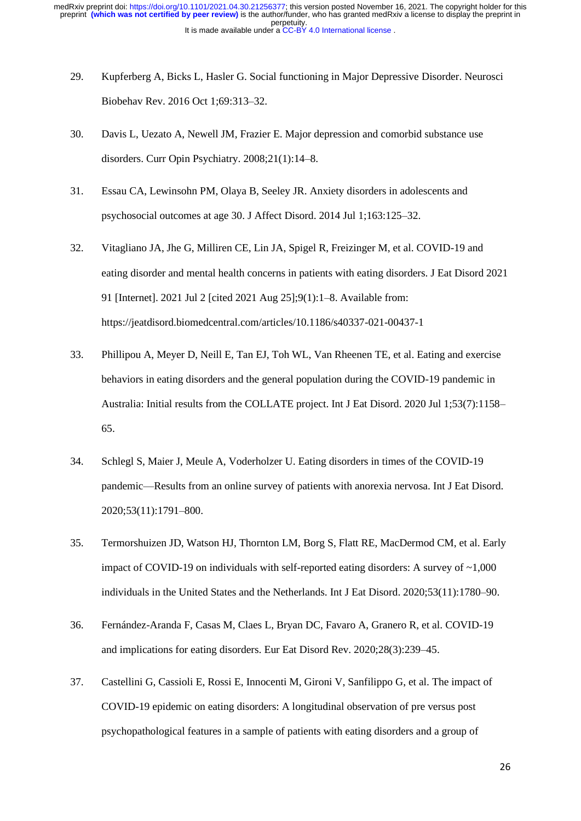- 29. Kupferberg A, Bicks L, Hasler G. Social functioning in Major Depressive Disorder. Neurosci Biobehav Rev. 2016 Oct 1;69:313–32.
- 30. Davis L, Uezato A, Newell JM, Frazier E. Major depression and comorbid substance use disorders. Curr Opin Psychiatry. 2008;21(1):14–8.
- 31. Essau CA, Lewinsohn PM, Olaya B, Seeley JR. Anxiety disorders in adolescents and psychosocial outcomes at age 30. J Affect Disord. 2014 Jul 1;163:125–32.
- 32. Vitagliano JA, Jhe G, Milliren CE, Lin JA, Spigel R, Freizinger M, et al. COVID-19 and eating disorder and mental health concerns in patients with eating disorders. J Eat Disord 2021 91 [Internet]. 2021 Jul 2 [cited 2021 Aug 25];9(1):1–8. Available from: https://jeatdisord.biomedcentral.com/articles/10.1186/s40337-021-00437-1
- 33. Phillipou A, Meyer D, Neill E, Tan EJ, Toh WL, Van Rheenen TE, et al. Eating and exercise behaviors in eating disorders and the general population during the COVID-19 pandemic in Australia: Initial results from the COLLATE project. Int J Eat Disord. 2020 Jul 1;53(7):1158– 65.
- 34. Schlegl S, Maier J, Meule A, Voderholzer U. Eating disorders in times of the COVID-19 pandemic—Results from an online survey of patients with anorexia nervosa. Int J Eat Disord. 2020;53(11):1791–800.
- 35. Termorshuizen JD, Watson HJ, Thornton LM, Borg S, Flatt RE, MacDermod CM, et al. Early impact of COVID-19 on individuals with self-reported eating disorders: A survey of  $\sim$ 1,000 individuals in the United States and the Netherlands. Int J Eat Disord. 2020;53(11):1780–90.
- 36. Fernández-Aranda F, Casas M, Claes L, Bryan DC, Favaro A, Granero R, et al. COVID-19 and implications for eating disorders. Eur Eat Disord Rev. 2020;28(3):239–45.
- 37. Castellini G, Cassioli E, Rossi E, Innocenti M, Gironi V, Sanfilippo G, et al. The impact of COVID-19 epidemic on eating disorders: A longitudinal observation of pre versus post psychopathological features in a sample of patients with eating disorders and a group of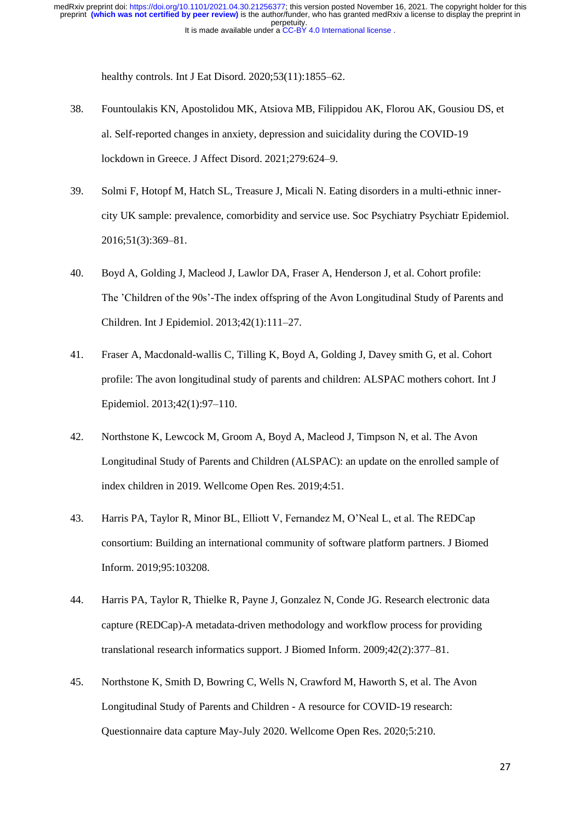healthy controls. Int J Eat Disord. 2020;53(11):1855–62.

- 38. Fountoulakis KN, Apostolidou MK, Atsiova MB, Filippidou AK, Florou AK, Gousiou DS, et al. Self-reported changes in anxiety, depression and suicidality during the COVID-19 lockdown in Greece. J Affect Disord. 2021;279:624–9.
- 39. Solmi F, Hotopf M, Hatch SL, Treasure J, Micali N. Eating disorders in a multi-ethnic innercity UK sample: prevalence, comorbidity and service use. Soc Psychiatry Psychiatr Epidemiol. 2016;51(3):369–81.
- 40. Boyd A, Golding J, Macleod J, Lawlor DA, Fraser A, Henderson J, et al. Cohort profile: The 'Children of the 90s'-The index offspring of the Avon Longitudinal Study of Parents and Children. Int J Epidemiol. 2013;42(1):111–27.
- 41. Fraser A, Macdonald-wallis C, Tilling K, Boyd A, Golding J, Davey smith G, et al. Cohort profile: The avon longitudinal study of parents and children: ALSPAC mothers cohort. Int J Epidemiol. 2013;42(1):97–110.
- 42. Northstone K, Lewcock M, Groom A, Boyd A, Macleod J, Timpson N, et al. The Avon Longitudinal Study of Parents and Children (ALSPAC): an update on the enrolled sample of index children in 2019. Wellcome Open Res. 2019;4:51.
- 43. Harris PA, Taylor R, Minor BL, Elliott V, Fernandez M, O'Neal L, et al. The REDCap consortium: Building an international community of software platform partners. J Biomed Inform. 2019;95:103208.
- 44. Harris PA, Taylor R, Thielke R, Payne J, Gonzalez N, Conde JG. Research electronic data capture (REDCap)-A metadata-driven methodology and workflow process for providing translational research informatics support. J Biomed Inform. 2009;42(2):377–81.
- 45. Northstone K, Smith D, Bowring C, Wells N, Crawford M, Haworth S, et al. The Avon Longitudinal Study of Parents and Children - A resource for COVID-19 research: Questionnaire data capture May-July 2020. Wellcome Open Res. 2020;5:210.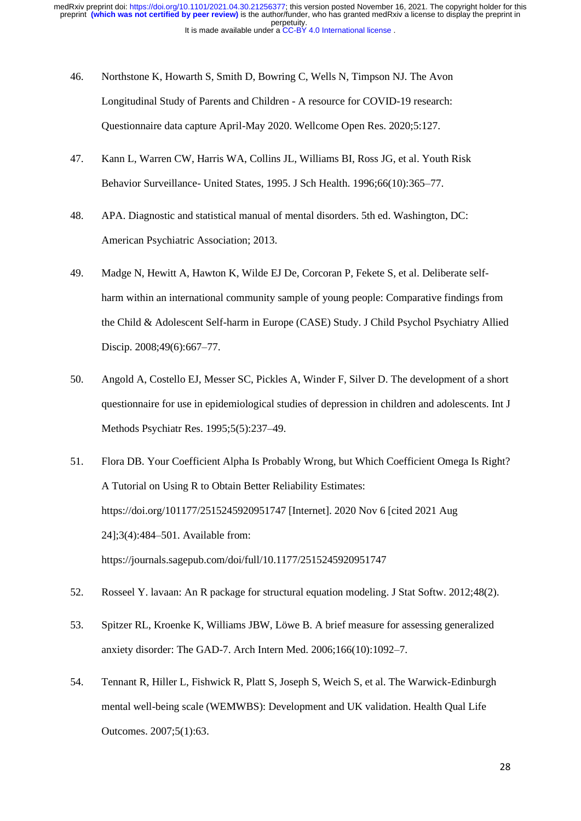- 46. Northstone K, Howarth S, Smith D, Bowring C, Wells N, Timpson NJ. The Avon Longitudinal Study of Parents and Children - A resource for COVID-19 research: Questionnaire data capture April-May 2020. Wellcome Open Res. 2020;5:127.
- 47. Kann L, Warren CW, Harris WA, Collins JL, Williams BI, Ross JG, et al. Youth Risk Behavior Surveillance- United States, 1995. J Sch Health. 1996;66(10):365–77.
- 48. APA. Diagnostic and statistical manual of mental disorders. 5th ed. Washington, DC: American Psychiatric Association; 2013.
- 49. Madge N, Hewitt A, Hawton K, Wilde EJ De, Corcoran P, Fekete S, et al. Deliberate selfharm within an international community sample of young people: Comparative findings from the Child & Adolescent Self-harm in Europe (CASE) Study. J Child Psychol Psychiatry Allied Discip. 2008;49(6):667–77.
- 50. Angold A, Costello EJ, Messer SC, Pickles A, Winder F, Silver D. The development of a short questionnaire for use in epidemiological studies of depression in children and adolescents. Int J Methods Psychiatr Res. 1995;5(5):237–49.
- 51. Flora DB. Your Coefficient Alpha Is Probably Wrong, but Which Coefficient Omega Is Right? A Tutorial on Using R to Obtain Better Reliability Estimates: https://doi.org/101177/2515245920951747 [Internet]. 2020 Nov 6 [cited 2021 Aug 24];3(4):484–501. Available from: https://journals.sagepub.com/doi/full/10.1177/2515245920951747
- 52. Rosseel Y. lavaan: An R package for structural equation modeling. J Stat Softw. 2012;48(2).
- 53. Spitzer RL, Kroenke K, Williams JBW, Löwe B. A brief measure for assessing generalized anxiety disorder: The GAD-7. Arch Intern Med. 2006;166(10):1092–7.
- 54. Tennant R, Hiller L, Fishwick R, Platt S, Joseph S, Weich S, et al. The Warwick-Edinburgh mental well-being scale (WEMWBS): Development and UK validation. Health Qual Life Outcomes. 2007;5(1):63.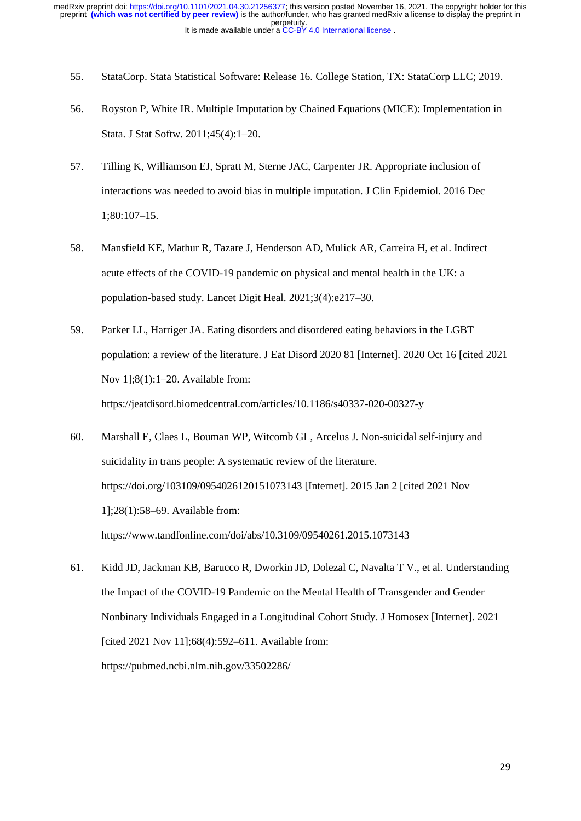- 55. StataCorp. Stata Statistical Software: Release 16. College Station, TX: StataCorp LLC; 2019.
- 56. Royston P, White IR. Multiple Imputation by Chained Equations (MICE): Implementation in Stata. J Stat Softw. 2011;45(4):1–20.
- 57. Tilling K, Williamson EJ, Spratt M, Sterne JAC, Carpenter JR. Appropriate inclusion of interactions was needed to avoid bias in multiple imputation. J Clin Epidemiol. 2016 Dec 1;80:107–15.
- 58. Mansfield KE, Mathur R, Tazare J, Henderson AD, Mulick AR, Carreira H, et al. Indirect acute effects of the COVID-19 pandemic on physical and mental health in the UK: a population-based study. Lancet Digit Heal. 2021;3(4):e217–30.
- 59. Parker LL, Harriger JA. Eating disorders and disordered eating behaviors in the LGBT population: a review of the literature. J Eat Disord 2020 81 [Internet]. 2020 Oct 16 [cited 2021 Nov 1];8(1):1–20. Available from: https://jeatdisord.biomedcentral.com/articles/10.1186/s40337-020-00327-y
- 60. Marshall E, Claes L, Bouman WP, Witcomb GL, Arcelus J. Non-suicidal self-injury and suicidality in trans people: A systematic review of the literature. https://doi.org/103109/0954026120151073143 [Internet]. 2015 Jan 2 [cited 2021 Nov 1];28(1):58–69. Available from: https://www.tandfonline.com/doi/abs/10.3109/09540261.2015.1073143
- 61. Kidd JD, Jackman KB, Barucco R, Dworkin JD, Dolezal C, Navalta T V., et al. Understanding the Impact of the COVID-19 Pandemic on the Mental Health of Transgender and Gender Nonbinary Individuals Engaged in a Longitudinal Cohort Study. J Homosex [Internet]. 2021 [cited 2021 Nov 11];68(4):592–611. Available from: https://pubmed.ncbi.nlm.nih.gov/33502286/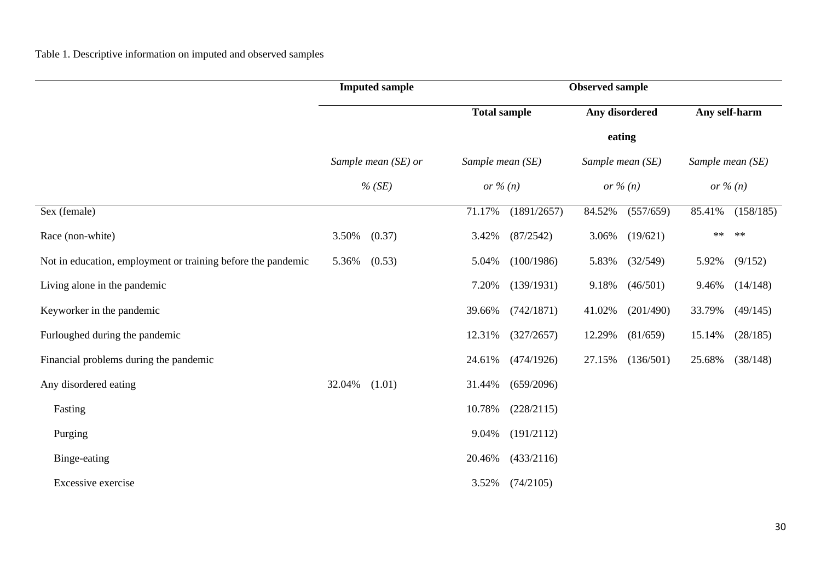|                                                              |                                 | <b>Imputed sample</b> | <b>Observed sample</b>                    |             |                                           |           |                                           |            |  |
|--------------------------------------------------------------|---------------------------------|-----------------------|-------------------------------------------|-------------|-------------------------------------------|-----------|-------------------------------------------|------------|--|
|                                                              | Sample mean (SE) or<br>$%$ (SE) |                       | <b>Total sample</b>                       |             | Any disordered                            |           | Any self-harm                             |            |  |
|                                                              |                                 |                       |                                           | eating      |                                           |           |                                           |            |  |
|                                                              |                                 |                       | Sample mean (SE)<br>or $\frac{\%}{n}$ (n) |             | Sample mean (SE)<br>or $\frac{\%}{n}$ (n) |           | Sample mean (SE)<br>or $\frac{\%}{n}$ (n) |            |  |
|                                                              |                                 |                       |                                           |             |                                           |           |                                           |            |  |
| Sex (female)                                                 |                                 |                       | 71.17%                                    | (1891/2657) | 84.52%                                    | (557/659) | 85.41%                                    | (158/185)  |  |
| Race (non-white)                                             | 3.50%                           | (0.37)                | 3.42%                                     | (87/2542)   | 3.06%                                     | (19/621)  | $**$                                      | $\ast\ast$ |  |
| Not in education, employment or training before the pandemic | 5.36%                           | (0.53)                | 5.04%                                     | (100/1986)  | 5.83%                                     | (32/549)  | 5.92%                                     | (9/152)    |  |
| Living alone in the pandemic                                 |                                 |                       | 7.20%                                     | (139/1931)  | 9.18%                                     | (46/501)  | 9.46%                                     | (14/148)   |  |
| Keyworker in the pandemic                                    |                                 |                       | 39.66%                                    | (742/1871)  | 41.02%                                    | (201/490) | 33.79%                                    | (49/145)   |  |
| Furloughed during the pandemic                               |                                 |                       | 12.31%                                    | (327/2657)  | 12.29%                                    | (81/659)  | 15.14%                                    | (28/185)   |  |
| Financial problems during the pandemic                       |                                 |                       | 24.61%                                    | (474/1926)  | 27.15%                                    | (136/501) | 25.68%                                    | (38/148)   |  |
| Any disordered eating                                        | 32.04%                          | (1.01)                | 31.44%                                    | (659/2096)  |                                           |           |                                           |            |  |
| Fasting                                                      |                                 |                       | 10.78%                                    | (228/2115)  |                                           |           |                                           |            |  |
| Purging                                                      |                                 |                       | 9.04%                                     | (191/2112)  |                                           |           |                                           |            |  |
| Binge-eating                                                 |                                 |                       | 20.46%                                    | (433/2116)  |                                           |           |                                           |            |  |
| Excessive exercise                                           |                                 |                       | 3.52%                                     | (74/2105)   |                                           |           |                                           |            |  |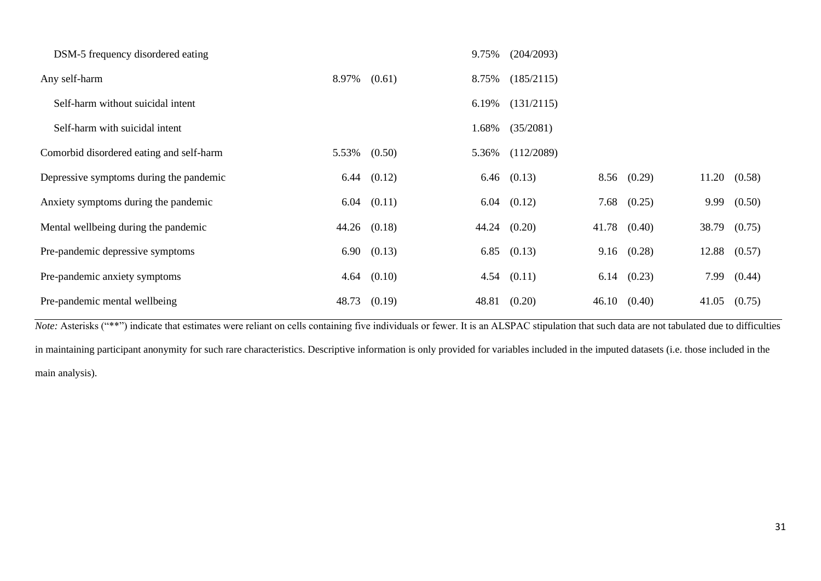| DSM-5 frequency disordered eating        |              |                 | 9.75% | (204/2093)      |       |                 |       |                      |
|------------------------------------------|--------------|-----------------|-------|-----------------|-------|-----------------|-------|----------------------|
| Any self-harm                            | 8.97% (0.61) |                 | 8.75% | (185/2115)      |       |                 |       |                      |
| Self-harm without suicidal intent        |              |                 | 6.19% | (131/2115)      |       |                 |       |                      |
| Self-harm with suicidal intent           |              |                 | 1.68% | (35/2081)       |       |                 |       |                      |
| Comorbid disordered eating and self-harm | 5.53% (0.50) |                 | 5.36% | (112/2089)      |       |                 |       |                      |
| Depressive symptoms during the pandemic  |              | $6.44$ $(0.12)$ |       | $6.46$ $(0.13)$ |       | $8.56$ $(0.29)$ |       | $11.20 \quad (0.58)$ |
| Anxiety symptoms during the pandemic     |              | $6.04$ $(0.11)$ | 6.04  | (0.12)          | 7.68  | (0.25)          | 9.99  | (0.50)               |
| Mental wellbeing during the pandemic     |              | 44.26 (0.18)    |       | 44.24 (0.20)    | 41.78 | (0.40)          |       | 38.79 (0.75)         |
| Pre-pandemic depressive symptoms         |              | 6.90 (0.13)     | 6.85  | (0.13)          |       | $9.16$ $(0.28)$ | 12.88 | (0.57)               |
| Pre-pandemic anxiety symptoms            |              | $4.64$ $(0.10)$ | 4.54  | (0.11)          | 6.14  | (0.23)          | 7.99  | (0.44)               |
| Pre-pandemic mental wellbeing            |              | 48.73 (0.19)    | 48.81 | (0.20)          | 46.10 | (0.40)          | 41.05 | (0.75)               |

*Note:* Asterisks ("\*\*") indicate that estimates were reliant on cells containing five individuals or fewer. It is an ALSPAC stipulation that such data are not tabulated due to difficulties in maintaining participant anonymity for such rare characteristics. Descriptive information is only provided for variables included in the imputed datasets (i.e. those included in the main analysis).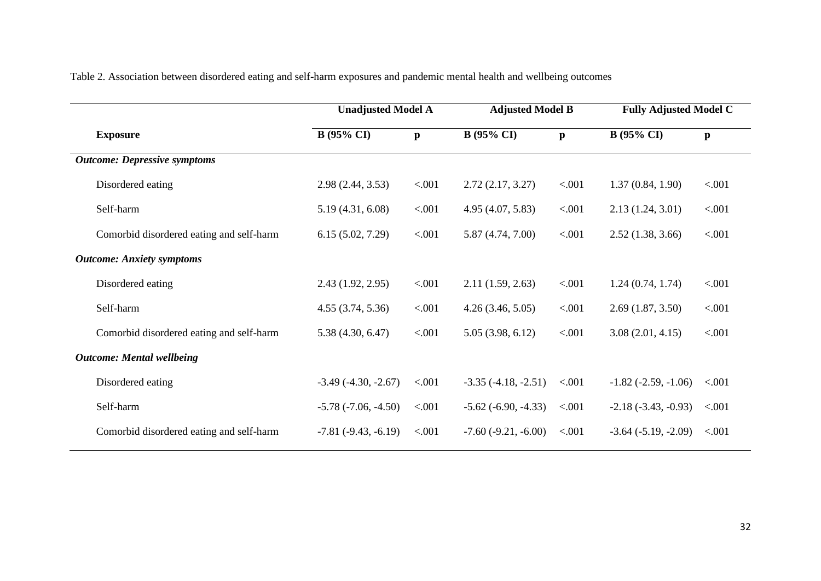Table 2. Association between disordered eating and self-harm exposures and pandemic mental health and wellbeing outcomes

|                                          | <b>Unadjusted Model A</b> |              | <b>Adjusted Model B</b>    |              | <b>Fully Adjusted Model C</b> |              |  |
|------------------------------------------|---------------------------|--------------|----------------------------|--------------|-------------------------------|--------------|--|
| <b>Exposure</b>                          | $B(95\% \text{ CI})$      | $\mathbf{p}$ | <b>B</b> (95% CI)          | $\mathbf{p}$ | $B(95\% \text{ CI})$          | $\mathbf{p}$ |  |
| <b>Outcome: Depressive symptoms</b>      |                           |              |                            |              |                               |              |  |
| Disordered eating                        | 2.98(2.44, 3.53)          | < .001       | 2.72(2.17, 3.27)           | < .001       | 1.37(0.84, 1.90)              | < .001       |  |
| Self-harm                                | 5.19(4.31, 6.08)          | < .001       | 4.95(4.07, 5.83)           | < .001       | 2.13(1.24, 3.01)              | < .001       |  |
| Comorbid disordered eating and self-harm | 6.15(5.02, 7.29)          | < .001       | 5.87 (4.74, 7.00)          | < .001       | 2.52(1.38, 3.66)              | < .001       |  |
| <b>Outcome: Anxiety symptoms</b>         |                           |              |                            |              |                               |              |  |
| Disordered eating                        | 2.43(1.92, 2.95)          | < .001       | 2.11(1.59, 2.63)           | < .001       | 1.24(0.74, 1.74)              | < .001       |  |
| Self-harm                                | 4.55(3.74, 5.36)          | < .001       | 4.26(3.46, 5.05)           | < .001       | 2.69(1.87, 3.50)              | < .001       |  |
| Comorbid disordered eating and self-harm | 5.38(4.30, 6.47)          | < .001       | 5.05(3.98, 6.12)           | < .001       | 3.08(2.01, 4.15)              | < .001       |  |
| <b>Outcome: Mental wellbeing</b>         |                           |              |                            |              |                               |              |  |
| Disordered eating                        | $-3.49(-4.30, -2.67)$     | < .001       | $-3.35(-4.18, -2.51)$      | < .001       | $-1.82$ ( $-2.59$ , $-1.06$ ) | < .001       |  |
| Self-harm                                | $-5.78(-7.06, -4.50)$     | < 0.001      | $-5.62$ ( $-6.90, -4.33$ ) | < .001       | $-2.18(-3.43, -0.93)$         | < 0.001      |  |
| Comorbid disordered eating and self-harm | $-7.81(-9.43,-6.19)$      | < .001       | $-7.60(-9.21, -6.00)$      | < .001       | $-3.64$ $(-5.19, -2.09)$      | < .001       |  |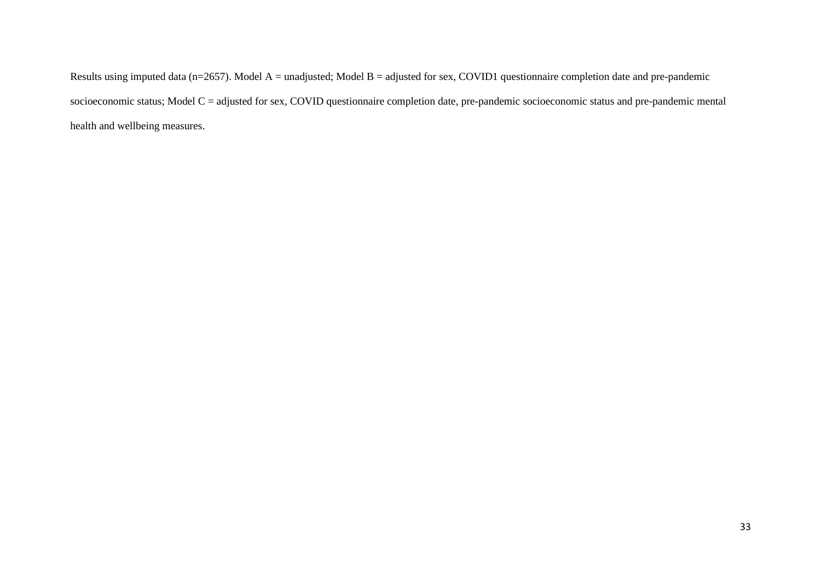Results using imputed data (n=2657). Model A = unadjusted; Model B = adjusted for sex, COVID1 questionnaire completion date and pre-pandemic socioeconomic status; Model C = adjusted for sex, COVID questionnaire completion date, pre-pandemic socioeconomic status and pre-pandemic mental health and wellbeing measures.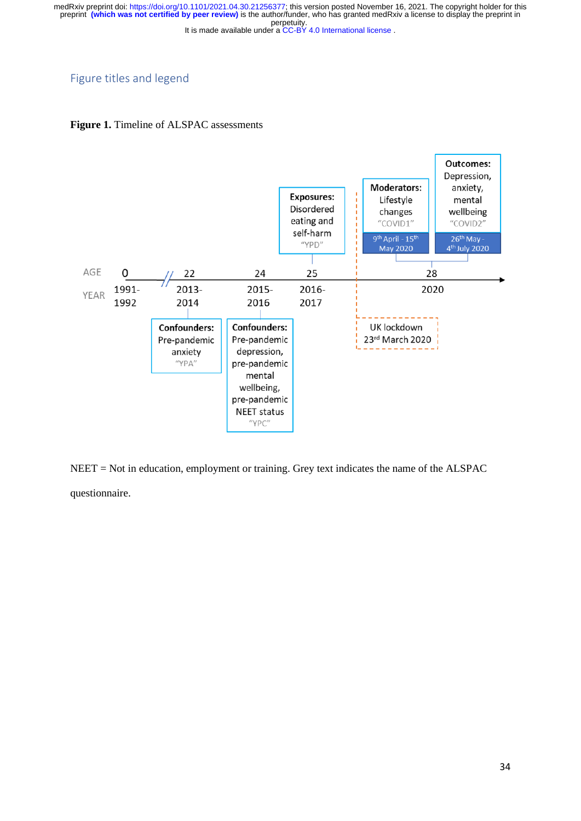# Figure titles and legend





NEET = Not in education, employment or training. Grey text indicates the name of the ALSPAC questionnaire.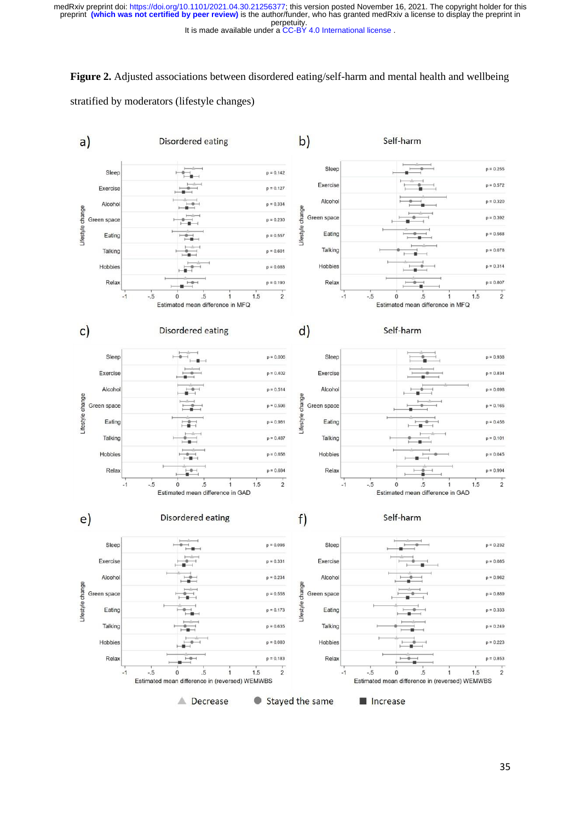**Figure 2.** Adjusted associations between disordered eating/self-harm and mental health and wellbeing stratified by moderators (lifestyle changes)